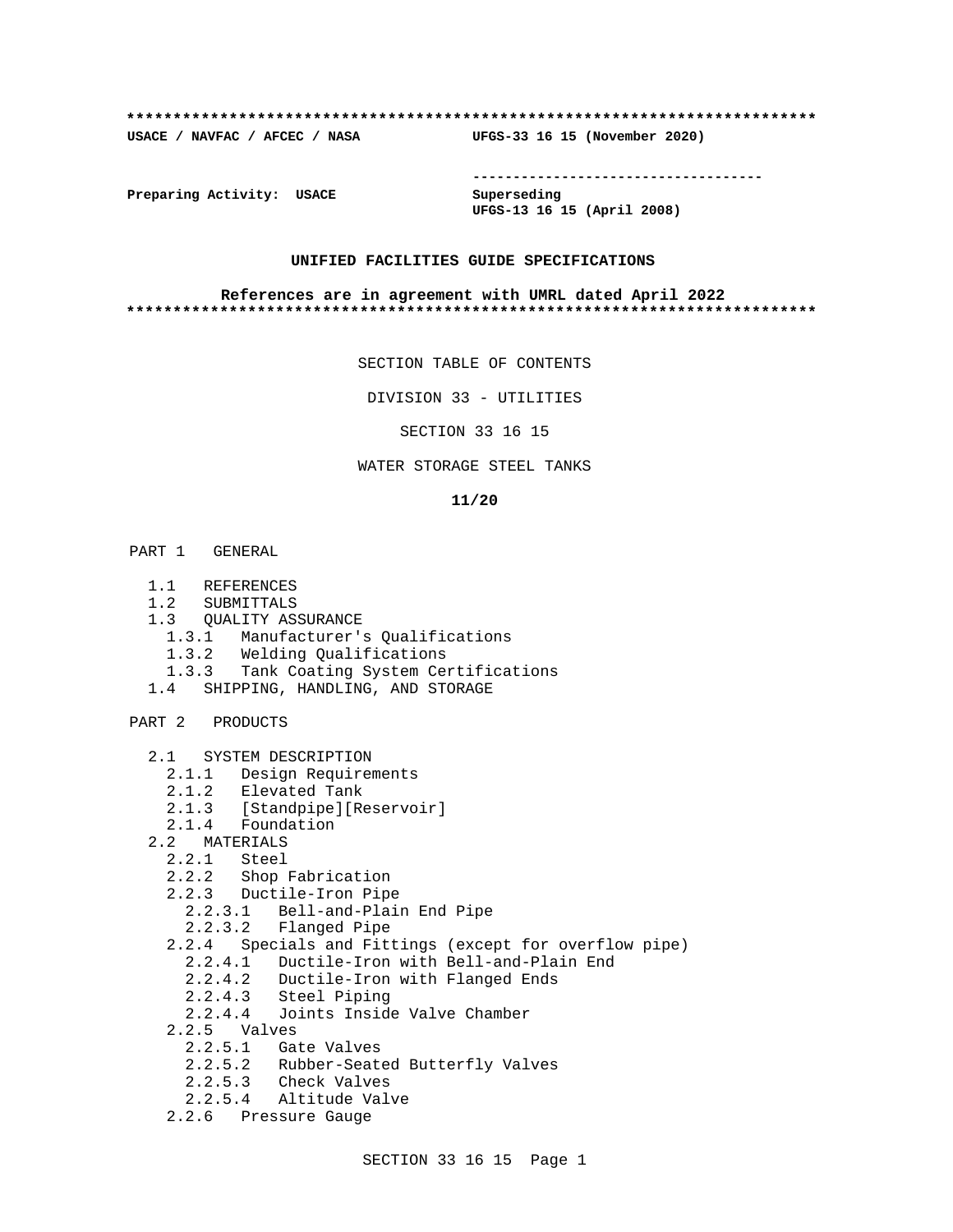### **\*\*\*\*\*\*\*\*\*\*\*\*\*\*\*\*\*\*\*\*\*\*\*\*\*\*\*\*\*\*\*\*\*\*\*\*\*\*\*\*\*\*\*\*\*\*\*\*\*\*\*\*\*\*\*\*\*\*\*\*\*\*\*\*\*\*\*\*\*\*\*\*\*\***

**USACE / NAVFAC / AFCEC / NASA UFGS-33 16 15 (November 2020)**

**------------------------------------**

**Preparing Activity: USACE Superseding**

**UFGS-13 16 15 (April 2008)**

## **UNIFIED FACILITIES GUIDE SPECIFICATIONS**

### **References are in agreement with UMRL dated April 2022 \*\*\*\*\*\*\*\*\*\*\*\*\*\*\*\*\*\*\*\*\*\*\*\*\*\*\*\*\*\*\*\*\*\*\*\*\*\*\*\*\*\*\*\*\*\*\*\*\*\*\*\*\*\*\*\*\*\*\*\*\*\*\*\*\*\*\*\*\*\*\*\*\*\***

SECTION TABLE OF CONTENTS

DIVISION 33 - UTILITIES

SECTION 33 16 15

## WATER STORAGE STEEL TANKS

### **11/20**

- PART 1 GENERAL
	- 1.1 REFERENCES
	- 1.2 SUBMITTALS
	- 1.3 QUALITY ASSURANCE
		- 1.3.1 Manufacturer's Qualifications
		- 1.3.2 Welding Qualifications
	- 1.3.3 Tank Coating System Certifications
	- 1.4 SHIPPING, HANDLING, AND STORAGE

PART 2 PRODUCTS

- 2.1 SYSTEM DESCRIPTION
	- 2.1.1 Design Requirements
	- 2.1.2 Elevated Tank
	- 2.1.3 [Standpipe][Reservoir]
	- 2.1.4 Foundation
- 2.2 MATERIALS
- 2.2.1 Steel
- 2.2.2 Shop Fabrication
- 2.2.3 Ductile-Iron Pipe
- 2.2.3.1 Bell-and-Plain End Pipe
- 2.2.3.2 Flanged Pipe
	- 2.2.4 Specials and Fittings (except for overflow pipe)
		- 2.2.4.1 Ductile-Iron with Bell-and-Plain End
		- 2.2.4.2 Ductile-Iron with Flanged Ends
		- 2.2.4.3 Steel Piping
		- 2.2.4.4 Joints Inside Valve Chamber
	- 2.2.5 Valves
		- 2.2.5.1 Gate Valves
		- 2.2.5.2 Rubber-Seated Butterfly Valves
		- 2.2.5.3 Check Valves
		- 2.2.5.4 Altitude Valve
	- 2.2.6 Pressure Gauge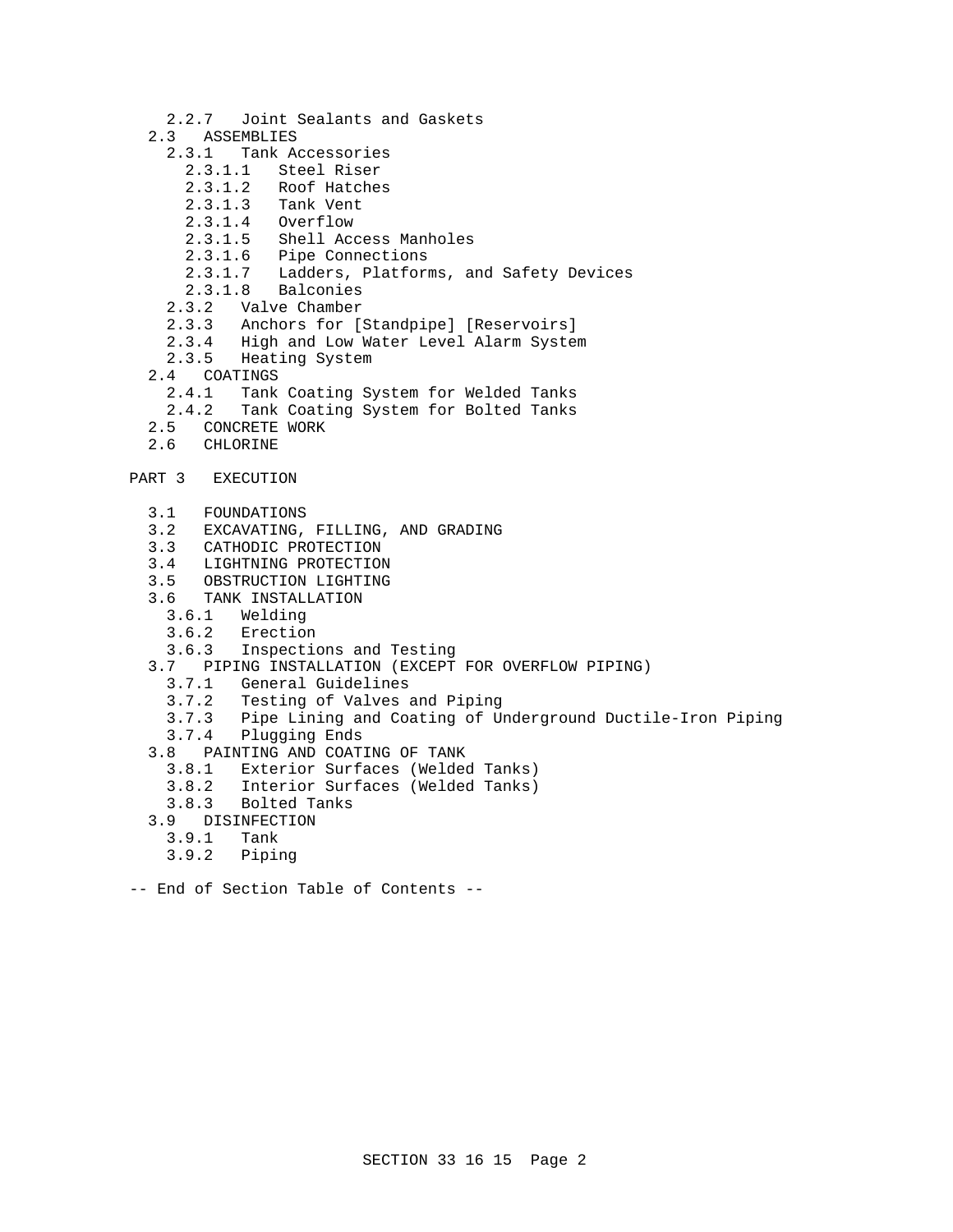- 2.2.7 Joint Sealants and Gaskets
- 2.3 ASSEMBLIES
	- 2.3.1 Tank Accessories
		- 2.3.1.1 Steel Riser
		- 2.3.1.2 Roof Hatches
		- 2.3.1.3 Tank Vent
		- 2.3.1.4 Overflow
		- 2.3.1.5 Shell Access Manholes
		- 2.3.1.6 Pipe Connections
		- 2.3.1.7 Ladders, Platforms, and Safety Devices
		- 2.3.1.8 Balconies
	- 2.3.2 Valve Chamber
	- 2.3.3 Anchors for [Standpipe] [Reservoirs]
	- 2.3.4 High and Low Water Level Alarm System
	- 2.3.5 Heating System
- 2.4 COATINGS
	- 2.4.1 Tank Coating System for Welded Tanks
- 2.4.2 Tank Coating System for Bolted Tanks<br>2.5 CONCRETE WORK
- 2.5 CONCRETE WORK<br>2.6 CHLORINE
- CHLORINE
- PART 3 EXECUTION
	- 3.1 FOUNDATIONS
	- 3.2 EXCAVATING, FILLING, AND GRADING
	- 3.3 CATHODIC PROTECTION
	-
	- 3.4 LIGHTNING PROTECTION<br>3.5 OBSTRUCTION LIGHTING 3.5 OBSTRUCTION LIGHTING
	- 3.6 TANK INSTALLATION
		- Welding
		- 3.6.2 Erection
		- 3.6.3 Inspections and Testing
	- 3.7 PIPING INSTALLATION (EXCEPT FOR OVERFLOW PIPING)
		- 3.7.1 General Guidelines
		- 3.7.2 Testing of Valves and Piping
		- 3.7.3 Pipe Lining and Coating of Underground Ductile-Iron Piping
		- 3.7.4 Plugging Ends
	- 3.8 PAINTING AND COATING OF TANK
		- Exterior Surfaces (Welded Tanks)
		- 3.8.2 Interior Surfaces (Welded Tanks)
		- 3.8.3 Bolted Tanks
	- 3.9 DISINFECTION
	- 3.9.1 Tank
		- 3.9.2 Piping
- -- End of Section Table of Contents --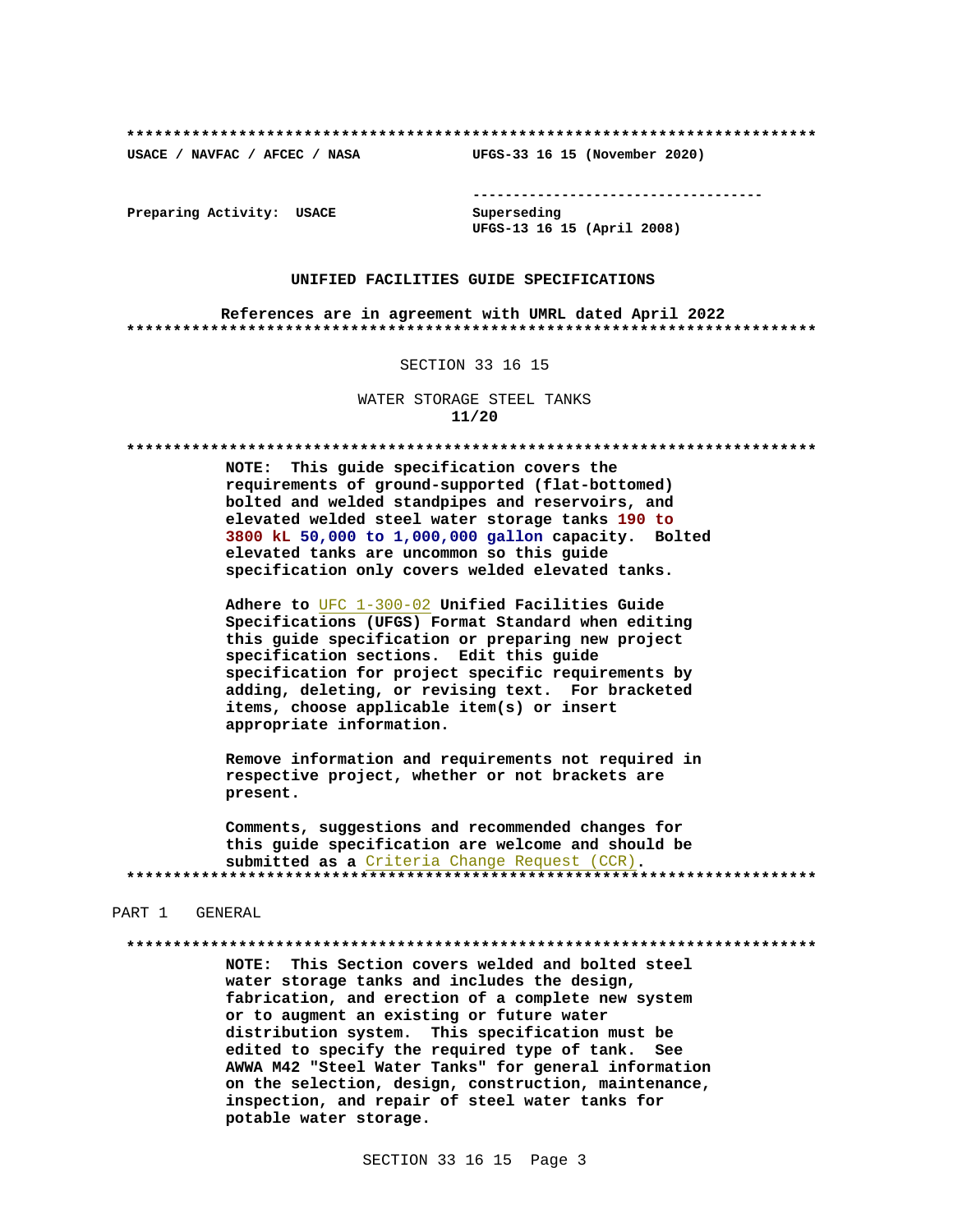USACE / NAVFAC / AFCEC / NASA

--------------------------------------

Preparing Activity: USACE

Superseding UFGS-13 16 15 (April 2008)

UFGS-33 16 15 (November 2020)

## UNIFIED FACILITIES GUIDE SPECIFICATIONS

References are in agreement with UMRL dated April 2022 

### SECTION 33 16 15

WATER STORAGE STEEL TANKS  $11/20$ 

NOTE: This guide specification covers the requirements of ground-supported (flat-bottomed) bolted and welded standpipes and reservoirs, and elevated welded steel water storage tanks 190 to 3800 kL 50,000 to 1,000,000 gallon capacity. Bolted elevated tanks are uncommon so this guide specification only covers welded elevated tanks.

Adhere to UFC 1-300-02 Unified Facilities Guide Specifications (UFGS) Format Standard when editing this guide specification or preparing new project specification sections. Edit this guide specification for project specific requirements by adding, deleting, or revising text. For bracketed items, choose applicable item(s) or insert appropriate information.

Remove information and requirements not required in respective project, whether or not brackets are present.

Comments, suggestions and recommended changes for this guide specification are welcome and should be submitted as a Criteria Change Request (CCR). 

### PART 1 GENERAL

NOTE: This Section covers welded and bolted steel water storage tanks and includes the design, fabrication, and erection of a complete new system or to augment an existing or future water distribution system. This specification must be edited to specify the required type of tank. See AWWA M42 "Steel Water Tanks" for general information on the selection, design, construction, maintenance, inspection, and repair of steel water tanks for potable water storage.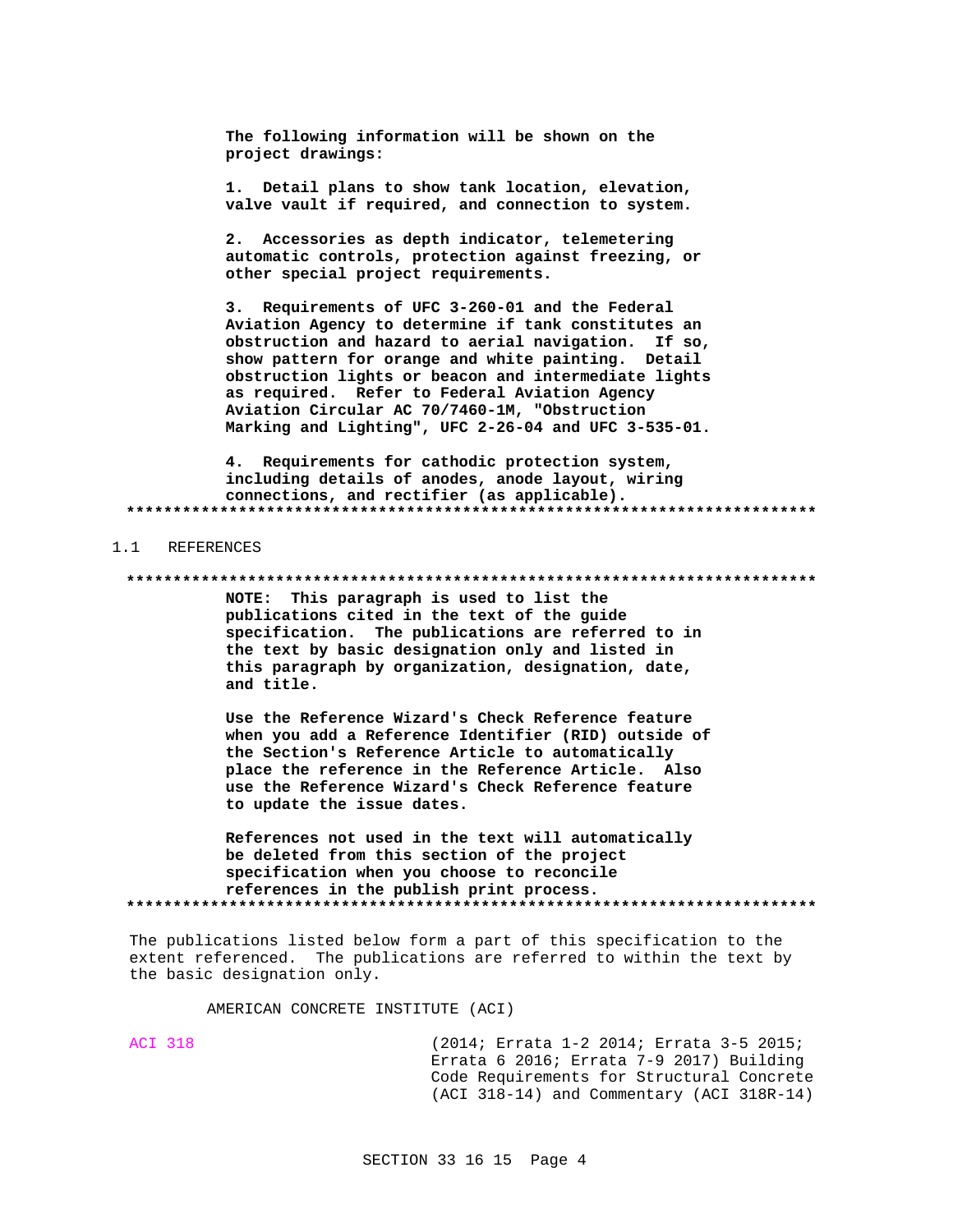The following information will be shown on the project drawings:

1. Detail plans to show tank location, elevation, valve vault if required, and connection to system.

2. Accessories as depth indicator, telemetering automatic controls, protection against freezing, or other special project requirements.

3. Requirements of UFC 3-260-01 and the Federal Aviation Agency to determine if tank constitutes an obstruction and hazard to aerial navigation. If so, show pattern for orange and white painting. Detail obstruction lights or beacon and intermediate lights as required. Refer to Federal Aviation Agency Aviation Circular AC 70/7460-1M, "Obstruction Marking and Lighting", UFC 2-26-04 and UFC 3-535-01.

4. Requirements for cathodic protection system, including details of anodes, anode layout, wiring connections, and rectifier (as applicable). 

1.1 REFERENCES

NOTE: This paragraph is used to list the publications cited in the text of the guide specification. The publications are referred to in the text by basic designation only and listed in this paragraph by organization, designation, date, and title.

Use the Reference Wizard's Check Reference feature when you add a Reference Identifier (RID) outside of the Section's Reference Article to automatically place the reference in the Reference Article. Also use the Reference Wizard's Check Reference feature to update the issue dates.

References not used in the text will automatically be deleted from this section of the project specification when you choose to reconcile references in the publish print process. 

The publications listed below form a part of this specification to the extent referenced. The publications are referred to within the text by the basic designation only.

AMERICAN CONCRETE INSTITUTE (ACI)

**ACI 318** 

(2014; Errata 1-2 2014; Errata 3-5 2015; Errata 6 2016; Errata 7-9 2017) Building Code Requirements for Structural Concrete (ACI 318-14) and Commentary (ACI 318R-14)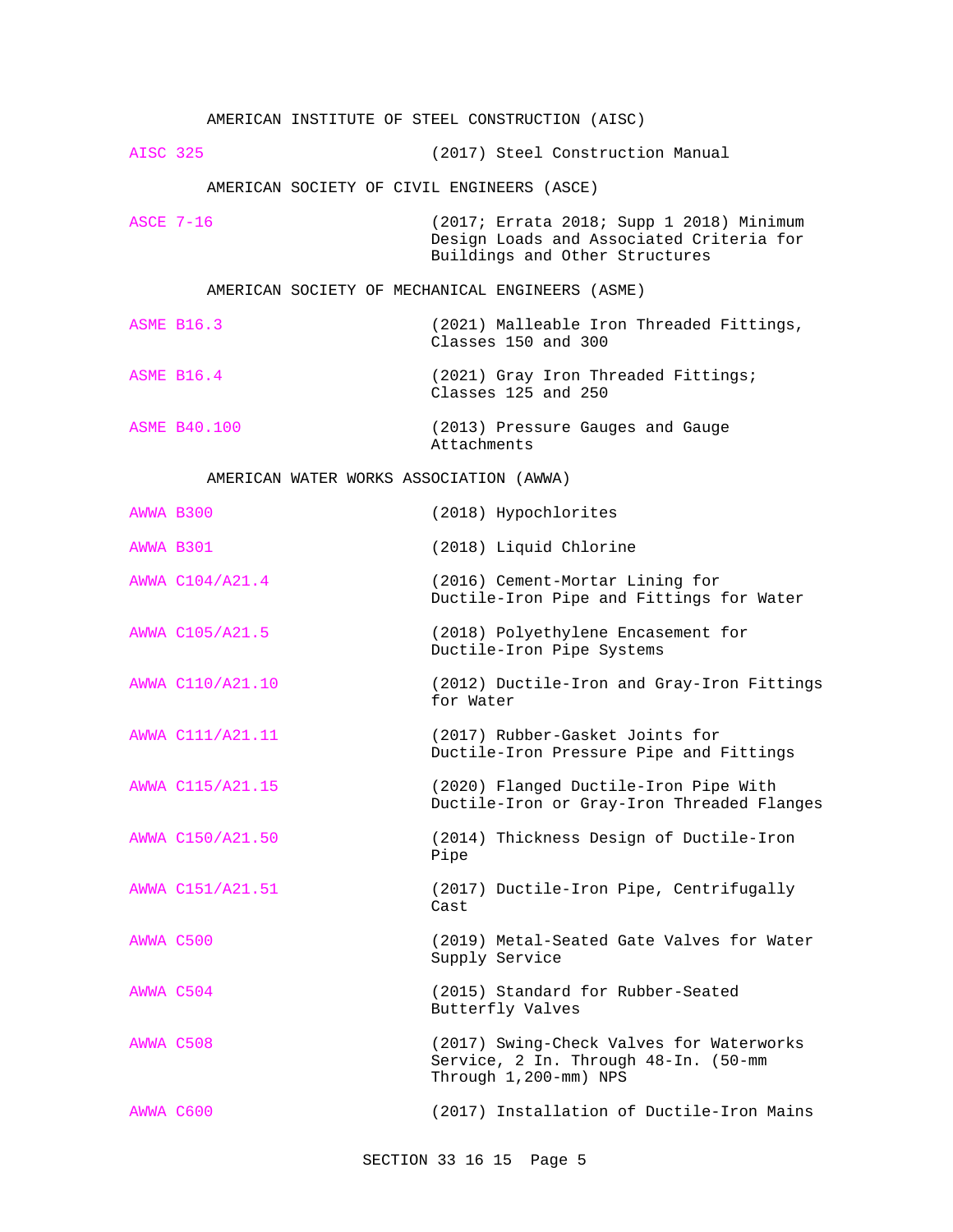|                                         |                     | AMERICAN INSTITUTE OF STEEL CONSTRUCTION (AISC)                                                                        |  |  |  |  |
|-----------------------------------------|---------------------|------------------------------------------------------------------------------------------------------------------------|--|--|--|--|
| <b>AISC 325</b>                         |                     | (2017) Steel Construction Manual                                                                                       |  |  |  |  |
|                                         |                     | AMERICAN SOCIETY OF CIVIL ENGINEERS (ASCE)                                                                             |  |  |  |  |
| <b>ASCE 7-16</b>                        |                     | (2017; Errata 2018; Supp 1 2018) Minimum<br>Design Loads and Associated Criteria for<br>Buildings and Other Structures |  |  |  |  |
|                                         |                     | AMERICAN SOCIETY OF MECHANICAL ENGINEERS (ASME)                                                                        |  |  |  |  |
|                                         | <b>ASME B16.3</b>   | (2021) Malleable Iron Threaded Fittings,<br>Classes 150 and 300                                                        |  |  |  |  |
|                                         | <b>ASME B16.4</b>   | (2021) Gray Iron Threaded Fittings;<br>Classes 125 and 250                                                             |  |  |  |  |
|                                         | <b>ASME B40.100</b> | (2013) Pressure Gauges and Gauge<br>Attachments                                                                        |  |  |  |  |
| AMERICAN WATER WORKS ASSOCIATION (AWWA) |                     |                                                                                                                        |  |  |  |  |
| AWWA B300                               |                     | (2018) Hypochlorites                                                                                                   |  |  |  |  |
| AWWA B301                               |                     | (2018) Liquid Chlorine                                                                                                 |  |  |  |  |
|                                         | AWWA C104/A21.4     | (2016) Cement-Mortar Lining for<br>Ductile-Iron Pipe and Fittings for Water                                            |  |  |  |  |
|                                         | AWWA C105/A21.5     | (2018) Polyethylene Encasement for<br>Ductile-Iron Pipe Systems                                                        |  |  |  |  |
|                                         | AWWA C110/A21.10    | (2012) Ductile-Iron and Gray-Iron Fittings<br>for Water                                                                |  |  |  |  |
|                                         | AWWA C111/A21.11    | (2017) Rubber-Gasket Joints for<br>Ductile-Iron Pressure Pipe and Fittings                                             |  |  |  |  |
|                                         | AWWA C115/A21.15    | (2020) Flanged Ductile-Iron Pipe With<br>Ductile-Iron or Gray-Iron Threaded Flanges                                    |  |  |  |  |
|                                         | AWWA C150/A21.50    | (2014) Thickness Design of Ductile-Iron<br>Pipe                                                                        |  |  |  |  |
|                                         | AWWA C151/A21.51    | (2017) Ductile-Iron Pipe, Centrifugally<br>Cast                                                                        |  |  |  |  |
| AWWA C500                               |                     | (2019) Metal-Seated Gate Valves for Water<br>Supply Service                                                            |  |  |  |  |
| AWWA C504                               |                     | (2015) Standard for Rubber-Seated<br>Butterfly Valves                                                                  |  |  |  |  |
| AWWA C508                               |                     | (2017) Swing-Check Valves for Waterworks<br>Service, 2 In. Through 48-In. (50-mm<br>Through 1,200-mm) NPS              |  |  |  |  |
| AWWA C600                               |                     | (2017) Installation of Ductile-Iron Mains                                                                              |  |  |  |  |

SECTION 33 16 15 Page 5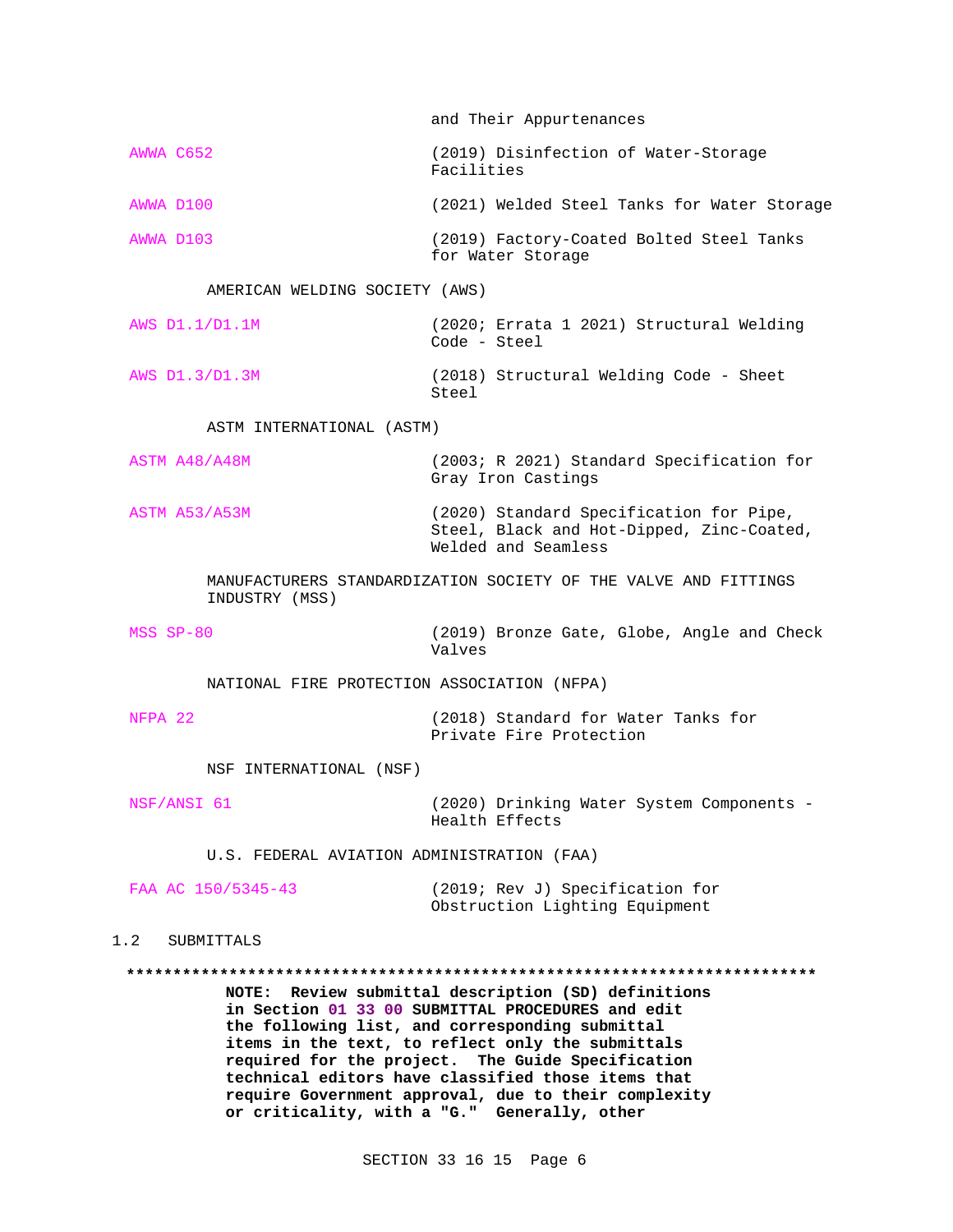and Their Appurtenances AWWA C652 (2019) Disinfection of Water-Storage Facilities AWWA D100 (2021) Welded Steel Tanks for Water Storage AWWA D103 (2019) Factory-Coated Bolted Steel Tanks for Water Storage AMERICAN WELDING SOCIETY (AWS) AWS D1.1/D1.1M (2020; Errata 1 2021) Structural Welding Code - Steel AWS D1.3/D1.3M (2018) Structural Welding Code - Sheet Steel ASTM INTERNATIONAL (ASTM) ASTM A48/A48M (2003; R 2021) Standard Specification for Gray Iron Castings ASTM A53/A53M (2020) Standard Specification for Pipe, Steel, Black and Hot-Dipped, Zinc-Coated, Welded and Seamless MANUFACTURERS STANDARDIZATION SOCIETY OF THE VALVE AND FITTINGS INDUSTRY (MSS) MSS SP-80 (2019) Bronze Gate, Globe, Angle and Check Valves NATIONAL FIRE PROTECTION ASSOCIATION (NFPA) NFPA 22 (2018) Standard for Water Tanks for Private Fire Protection NSF INTERNATIONAL (NSF) NSF/ANSI 61 (2020) Drinking Water System Components - Health Effects U.S. FEDERAL AVIATION ADMINISTRATION (FAA) FAA AC 150/5345-43 (2019; Rev J) Specification for Obstruction Lighting Equipment 1.2 SUBMITTALS **\*\*\*\*\*\*\*\*\*\*\*\*\*\*\*\*\*\*\*\*\*\*\*\*\*\*\*\*\*\*\*\*\*\*\*\*\*\*\*\*\*\*\*\*\*\*\*\*\*\*\*\*\*\*\*\*\*\*\*\*\*\*\*\*\*\*\*\*\*\*\*\*\*\* NOTE: Review submittal description (SD) definitions in Section 01 33 00 SUBMITTAL PROCEDURES and edit**

**the following list, and corresponding submittal items in the text, to reflect only the submittals required for the project. The Guide Specification technical editors have classified those items that require Government approval, due to their complexity or criticality, with a "G." Generally, other**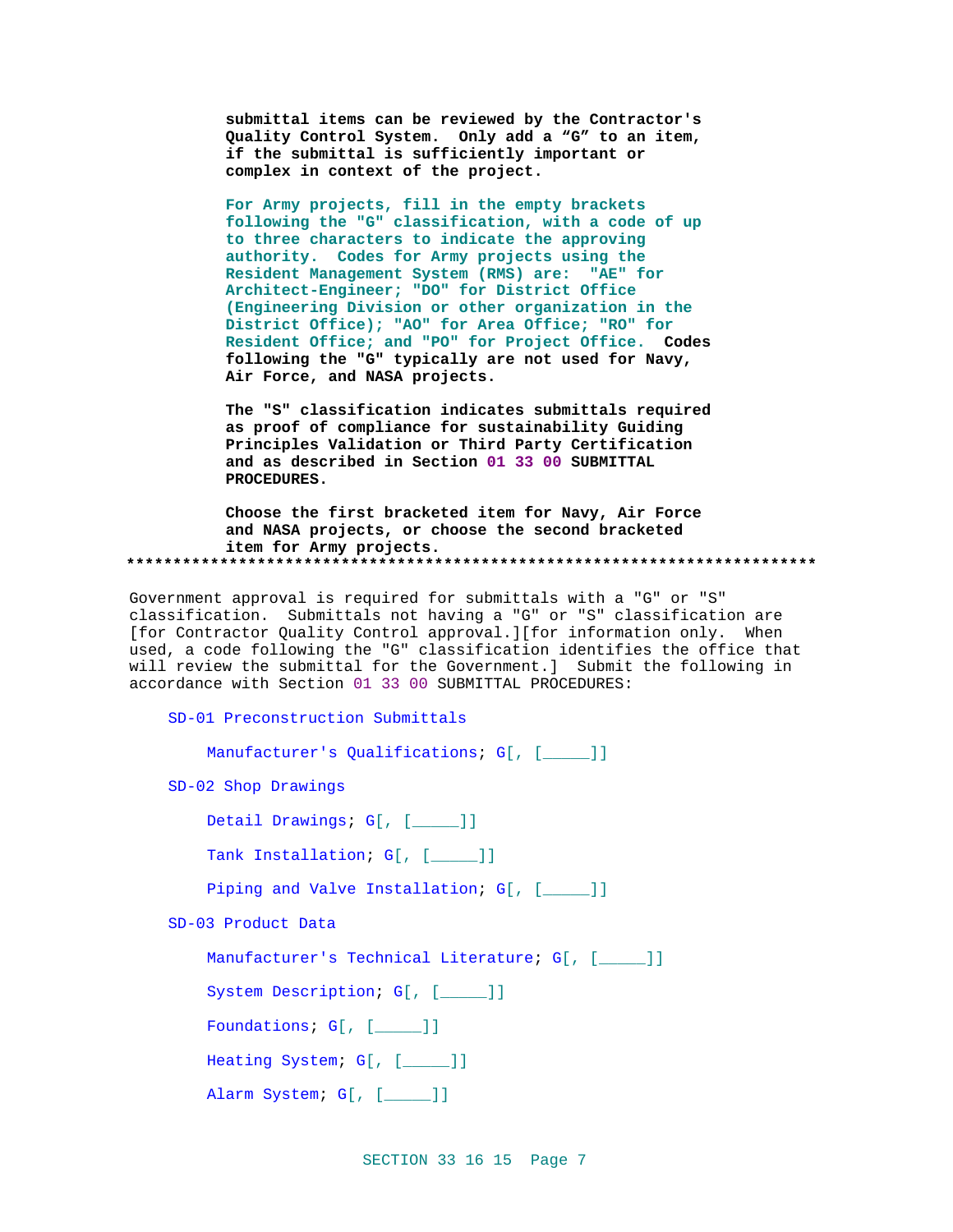submittal items can be reviewed by the Contractor's Quality Control System. Only add a "G" to an item, if the submittal is sufficiently important or complex in context of the project.

For Army projects, fill in the empty brackets following the "G" classification, with a code of up to three characters to indicate the approving authority. Codes for Army projects using the Resident Management System (RMS) are: "AE" for Architect-Engineer; "DO" for District Office (Engineering Division or other organization in the District Office); "AO" for Area Office; "RO" for Resident Office; and "PO" for Project Office. Codes following the "G" typically are not used for Navy, Air Force, and NASA projects.

The "S" classification indicates submittals required as proof of compliance for sustainability Guiding Principles Validation or Third Party Certification and as described in Section 01 33 00 SUBMITTAL PROCEDURES.

Choose the first bracketed item for Navy, Air Force and NASA projects, or choose the second bracketed item for Army projects. 

Government approval is required for submittals with a "G" or "S" classification. Submittals not having a "G" or "S" classification are [for Contractor Quality Control approval.][for information only. When used, a code following the "G" classification identifies the office that will review the submittal for the Government.] Submit the following in accordance with Section 01 33 00 SUBMITTAL PROCEDURES:

SD-01 Preconstruction Submittals

Manufacturer's Qualifications; G[, [\_\_\_\_]]

SD-02 Shop Drawings

Detail Drawings; G[, [\_\_\_\_]]

Tank Installation; G[, [\_\_\_\_]]

Piping and Valve Installation; G[, [\_\_\_\_]]

SD-03 Product Data

Manufacturer's Technical Literature; G[, [\_\_\_\_]]

System Description; G[, [\_\_\_\_]]

Foundations; G[, [\_\_\_\_]]

Heating System; G[, [\_\_\_\_]]

Alarm System; G[, [\_\_\_\_]]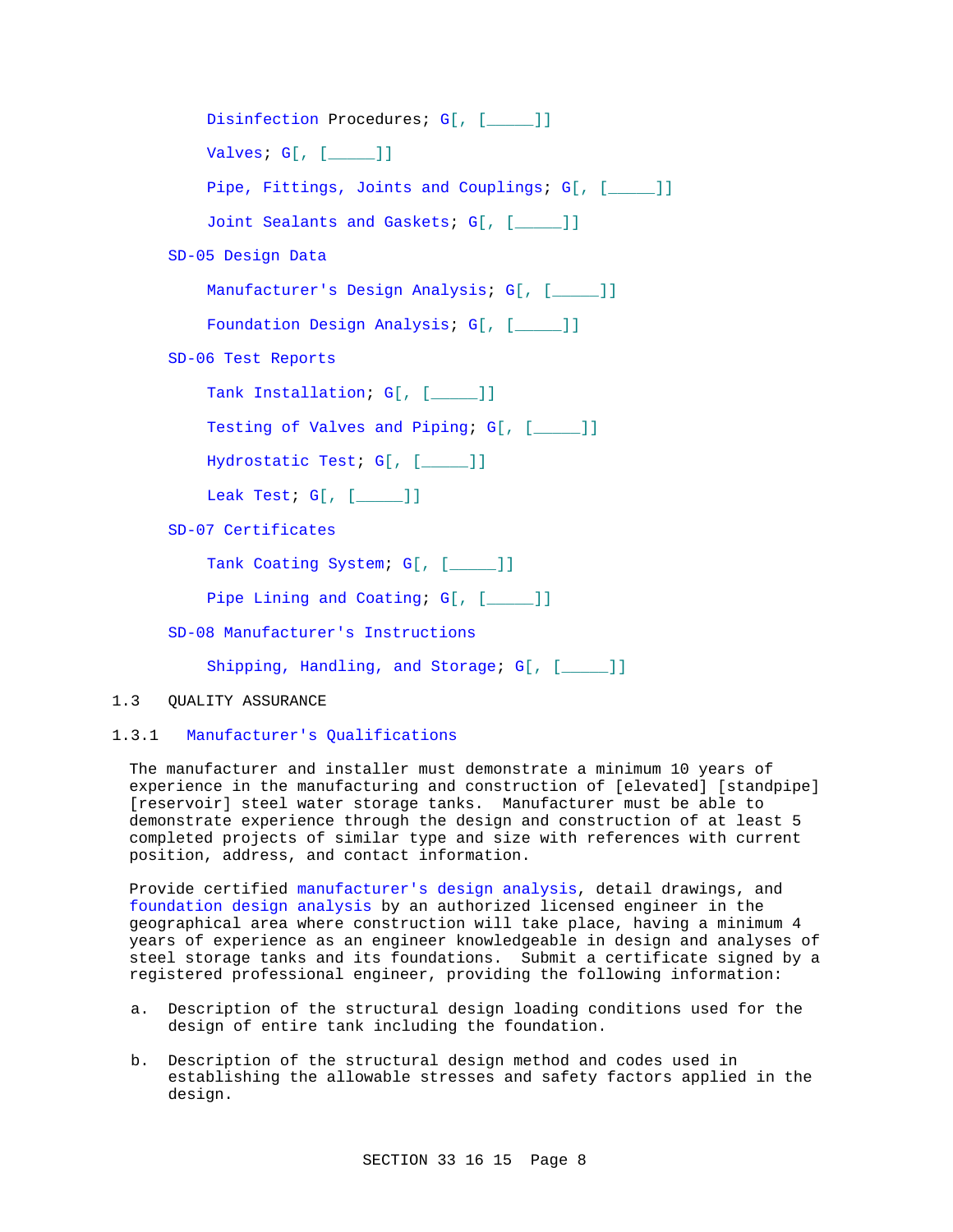```
Disinfection Procedures; G[, [ ____]]
    Valves; G[, [_____]]
    Pipe, Fittings, Joints and Couplings; G[, [_____]]
    Joint Sealants and Gaskets; G[, [_____]]
SD-05 Design Data
    Manufacturer's Design Analysis; G[, [_____]]
    Foundation Design Analysis; G[, [____]]
SD-06 Test Reports
    Tank Installation; G[, [____]]
    Testing of Valves and Piping; G[, [____]]
    Hydrostatic Test; G[, [_____]]
    Leak Test; G[, [_____]]
SD-07 Certificates
    Tank Coating System; G[, [____]]
    Pipe Lining and Coating; G[, [____]]
SD-08 Manufacturer's Instructions
    Shipping, Handling, and Storage; G[, [____]]
```
1.3 QUALITY ASSURANCE

# 1.3.1 Manufacturer's Qualifications

The manufacturer and installer must demonstrate a minimum 10 years of experience in the manufacturing and construction of [elevated] [standpipe] [reservoir] steel water storage tanks. Manufacturer must be able to demonstrate experience through the design and construction of at least 5 completed projects of similar type and size with references with current position, address, and contact information.

Provide certified manufacturer's design analysis, detail drawings, and foundation design analysis by an authorized licensed engineer in the geographical area where construction will take place, having a minimum 4 years of experience as an engineer knowledgeable in design and analyses of steel storage tanks and its foundations. Submit a certificate signed by a registered professional engineer, providing the following information:

- a. Description of the structural design loading conditions used for the design of entire tank including the foundation.
- b. Description of the structural design method and codes used in establishing the allowable stresses and safety factors applied in the design.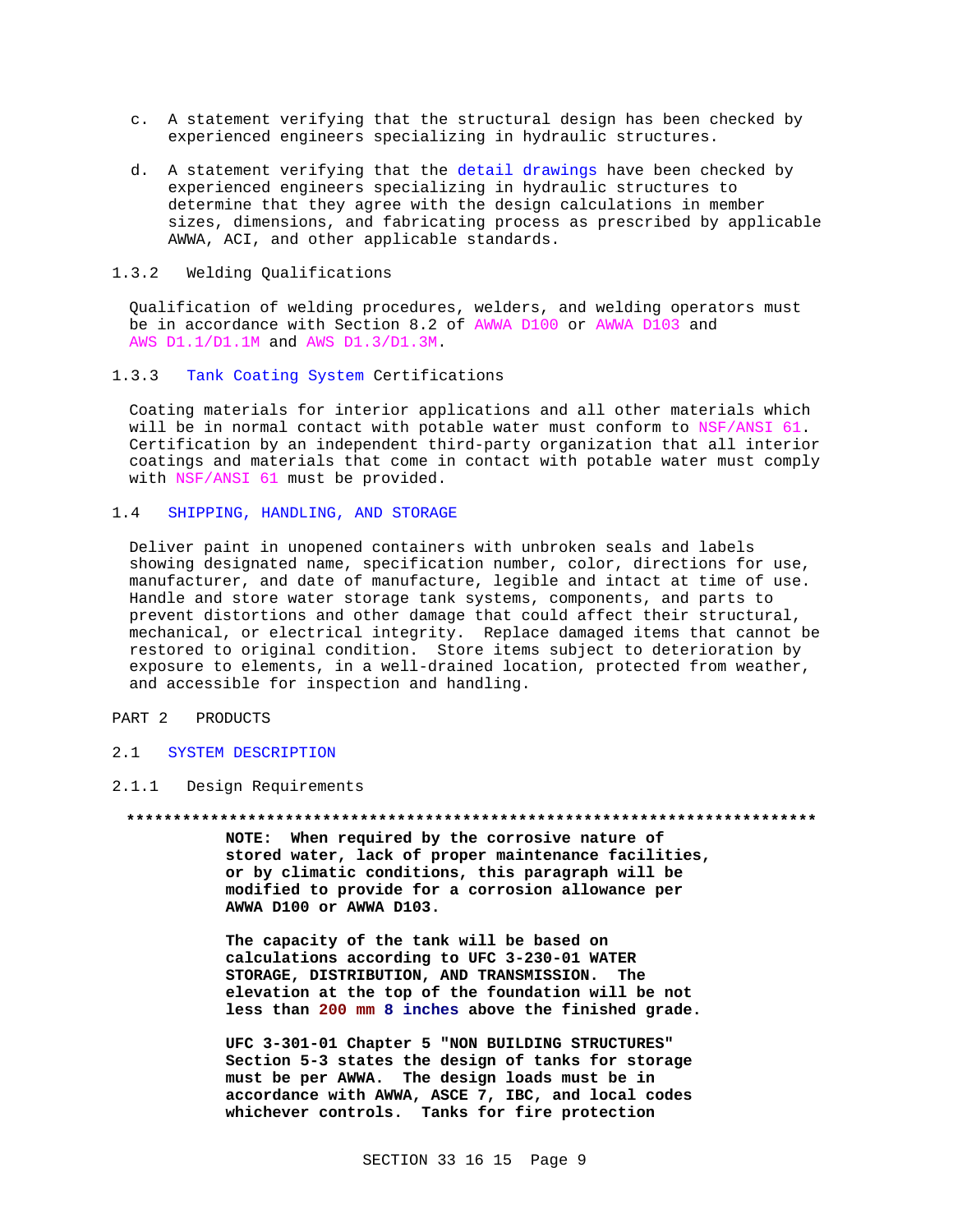- c. A statement verifying that the structural design has been checked by experienced engineers specializing in hydraulic structures.
- d. A statement verifying that the detail drawings have been checked by experienced engineers specializing in hydraulic structures to determine that they agree with the design calculations in member sizes, dimensions, and fabricating process as prescribed by applicable AWWA, ACI, and other applicable standards.
- 1.3.2 Welding Qualifications

Qualification of welding procedures, welders, and welding operators must be in accordance with Section 8.2 of AWWA D100 or AWWA D103 and AWS D1.1/D1.1M and AWS D1.3/D1.3M.

1.3.3 Tank Coating System Certifications

Coating materials for interior applications and all other materials which will be in normal contact with potable water must conform to NSF/ANSI 61. Certification by an independent third-party organization that all interior coatings and materials that come in contact with potable water must comply with NSF/ANSI 61 must be provided.

## 1.4 SHIPPING, HANDLING, AND STORAGE

Deliver paint in unopened containers with unbroken seals and labels showing designated name, specification number, color, directions for use, manufacturer, and date of manufacture, legible and intact at time of use. Handle and store water storage tank systems, components, and parts to prevent distortions and other damage that could affect their structural, mechanical, or electrical integrity. Replace damaged items that cannot be restored to original condition. Store items subject to deterioration by exposure to elements, in a well-drained location, protected from weather, and accessible for inspection and handling.

# PART 2 PRODUCTS

- 2.1 SYSTEM DESCRIPTION
- 2.1.1 Design Requirements

## **\*\*\*\*\*\*\*\*\*\*\*\*\*\*\*\*\*\*\*\*\*\*\*\*\*\*\*\*\*\*\*\*\*\*\*\*\*\*\*\*\*\*\*\*\*\*\*\*\*\*\*\*\*\*\*\*\*\*\*\*\*\*\*\*\*\*\*\*\*\*\*\*\*\***

**NOTE: When required by the corrosive nature of stored water, lack of proper maintenance facilities, or by climatic conditions, this paragraph will be modified to provide for a corrosion allowance per AWWA D100 or AWWA D103.**

**The capacity of the tank will be based on calculations according to UFC 3-230-01 WATER STORAGE, DISTRIBUTION, AND TRANSMISSION. The elevation at the top of the foundation will be not less than 200 mm 8 inches above the finished grade.**

**UFC 3-301-01 Chapter 5 "NON BUILDING STRUCTURES" Section 5-3 states the design of tanks for storage must be per AWWA. The design loads must be in accordance with AWWA, ASCE 7, IBC, and local codes whichever controls. Tanks for fire protection**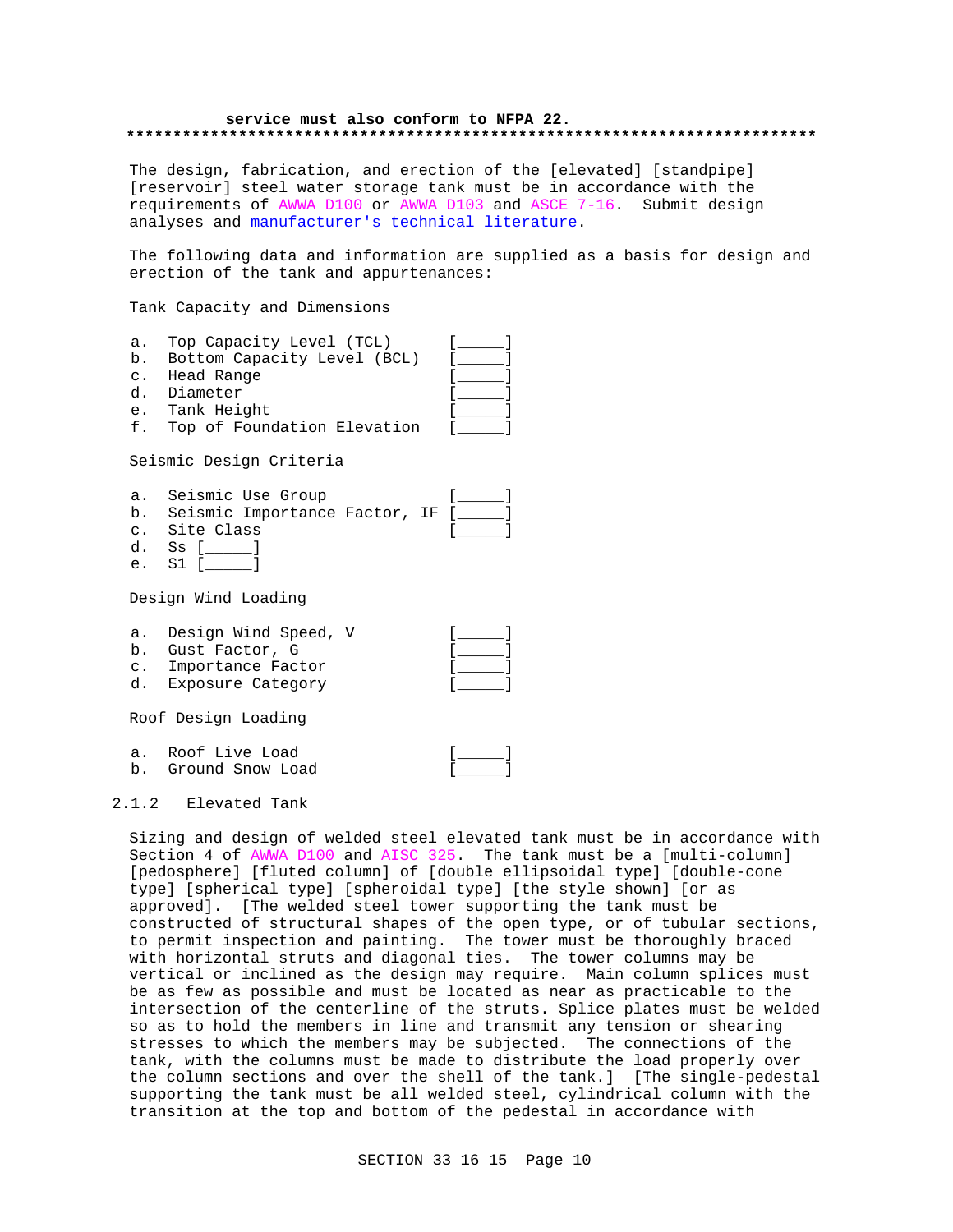## **service must also conform to NFPA 22. \*\*\*\*\*\*\*\*\*\*\*\*\*\*\*\*\*\*\*\*\*\*\*\*\*\*\*\*\*\*\*\*\*\*\*\*\*\*\*\*\*\*\*\*\*\*\*\*\*\*\*\*\*\*\*\*\*\*\*\*\*\*\*\*\*\*\*\*\*\*\*\*\*\***

The design, fabrication, and erection of the [elevated] [standpipe] [reservoir] steel water storage tank must be in accordance with the requirements of AWWA D100 or AWWA D103 and ASCE 7-16. Submit design analyses and manufacturer's technical literature.

The following data and information are supplied as a basis for design and erection of the tank and appurtenances:

Tank Capacity and Dimensions

| a.             | Top Capacity Level (TCL)         |  |
|----------------|----------------------------------|--|
|                | b. Bottom Capacity Level (BCL)   |  |
| $\mathsf{C}$ . | Head Range                       |  |
|                | d. Diameter                      |  |
|                | e. Tank Height                   |  |
|                | f. Top of Foundation Elevation   |  |
|                | Seismic Design Criteria          |  |
| a.             | Seismic Use Group                |  |
|                | b. Seismic Importance Factor, IF |  |
|                | c. Site Class                    |  |
| d.             | Ss I                             |  |

e. S1 [\_\_\_\_\_]

Design Wind Loading

a. Design Wind Speed, V [ ]

| b. Gust Factor, G    |  |
|----------------------|--|
| c. Importance Factor |  |
| d. Exposure Category |  |

Roof Design Loading

| a. Roof Live Load   |  |
|---------------------|--|
| b. Ground Snow Load |  |

# 2.1.2 Elevated Tank

Sizing and design of welded steel elevated tank must be in accordance with Section 4 of AWWA D100 and AISC 325. The tank must be a [multi-column] [pedosphere] [fluted column] of [double ellipsoidal type] [double-cone type] [spherical type] [spheroidal type] [the style shown] [or as approved]. [The welded steel tower supporting the tank must be constructed of structural shapes of the open type, or of tubular sections, to permit inspection and painting. The tower must be thoroughly braced with horizontal struts and diagonal ties. The tower columns may be vertical or inclined as the design may require. Main column splices must be as few as possible and must be located as near as practicable to the intersection of the centerline of the struts. Splice plates must be welded so as to hold the members in line and transmit any tension or shearing stresses to which the members may be subjected. The connections of the tank, with the columns must be made to distribute the load properly over the column sections and over the shell of the tank.] [The single-pedestal supporting the tank must be all welded steel, cylindrical column with the transition at the top and bottom of the pedestal in accordance with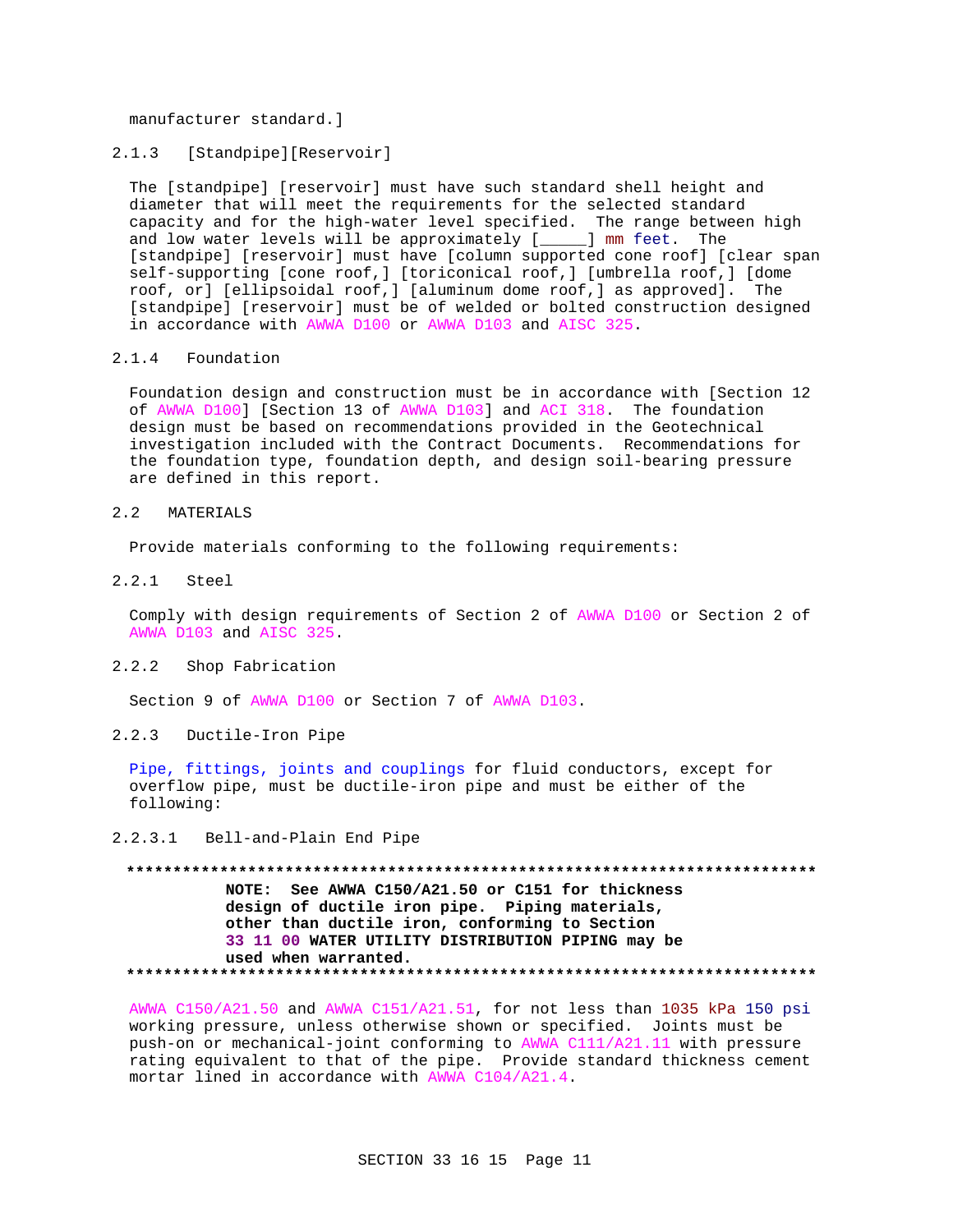manufacturer standard.]

### $2.1.3$ [Standpipe][Reservoir]

The [standpipe] [reservoir] must have such standard shell height and diameter that will meet the requirements for the selected standard capacity and for the high-water level specified. The range between high and low water levels will be approximately [\_\_\_\_\_] mm feet. The [standpipe] [reservoir] must have [column supported cone roof] [clear span self-supporting [cone roof,] [toriconical roof,] [umbrella roof,] [dome roof, or] [ellipsoidal roof,] [aluminum dome roof,] as approved]. The [standpipe] [reservoir] must be of welded or bolted construction designed in accordance with AWWA D100 or AWWA D103 and AISC 325.

#### $2.1.4$ Foundation

Foundation design and construction must be in accordance with [Section 12 of AWWA D100] [Section 13 of AWWA D103] and ACI 318. The foundation design must be based on recommendations provided in the Geotechnical investigation included with the Contract Documents. Recommendations for the foundation type, foundation depth, and design soil-bearing pressure are defined in this report.

#### $2.2$ MATERIALS

Provide materials conforming to the following requirements:

 $2.2.1$  $Step1$ 

> Comply with design requirements of Section 2 of AWWA D100 or Section 2 of AWWA D103 and AISC 325.

 $2.2.2$ Shop Fabrication

Section 9 of AWWA D100 or Section 7 of AWWA D103.

 $2.2.3$ Ductile-Iron Pipe

Pipe, fittings, joints and couplings for fluid conductors, except for overflow pipe, must be ductile-iron pipe and must be either of the following:

#### $2, 2, 3, 1$ Bell-and-Plain End Pipe

NOTE: See AWWA C150/A21.50 or C151 for thickness design of ductile iron pipe. Piping materials, other than ductile iron, conforming to Section 33 11 00 WATER UTILITY DISTRIBUTION PIPING may be used when warranted. 

AWWA C150/A21.50 and AWWA C151/A21.51, for not less than 1035 kPa 150 psi working pressure, unless otherwise shown or specified. Joints must be push-on or mechanical-joint conforming to AWWA C111/A21.11 with pressure rating equivalent to that of the pipe. Provide standard thickness cement mortar lined in accordance with AWWA C104/A21.4.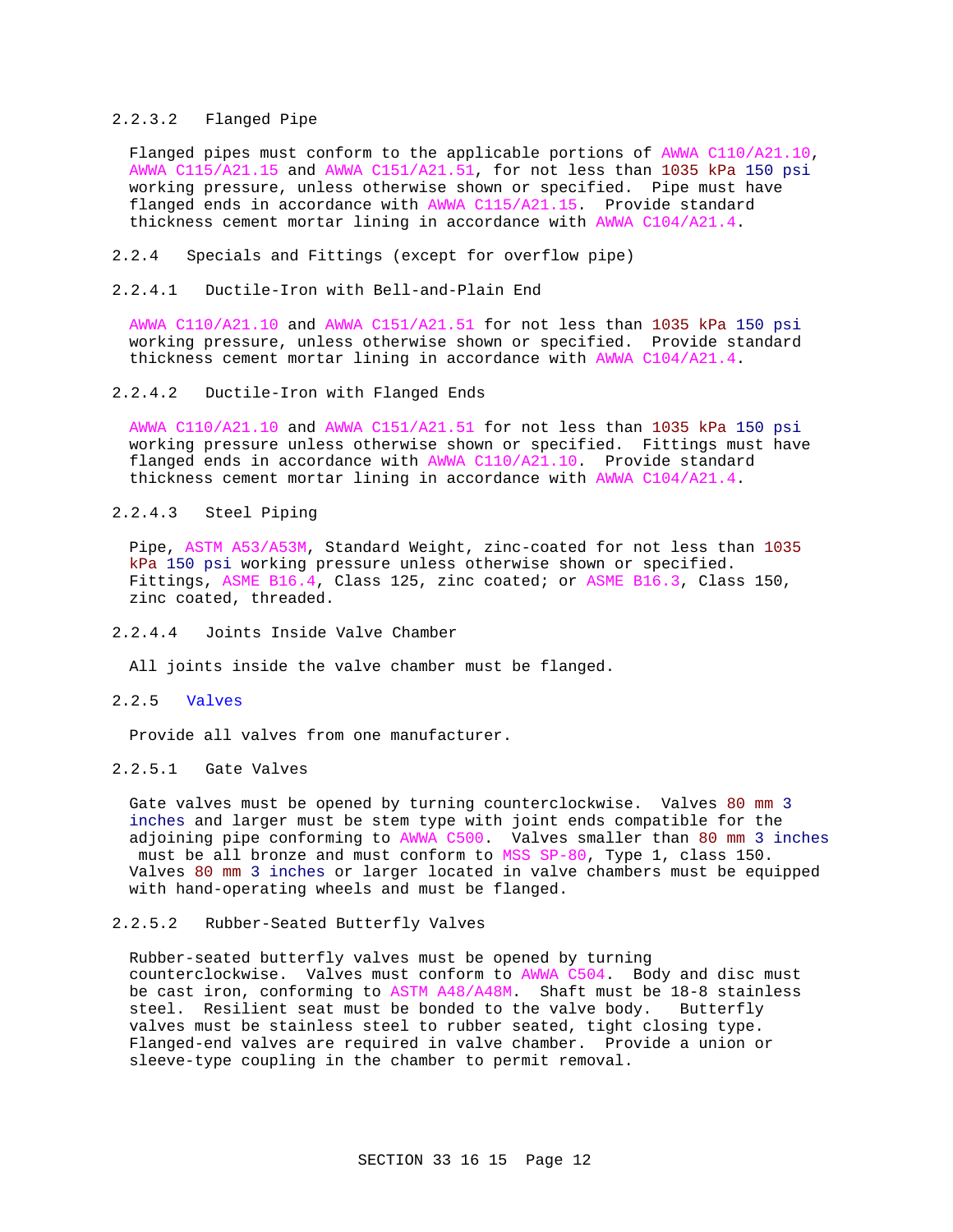# 2.2.3.2 Flanged Pipe

Flanged pipes must conform to the applicable portions of AWWA C110/A21.10, AWWA C115/A21.15 and AWWA C151/A21.51, for not less than 1035 kPa 150 psi working pressure, unless otherwise shown or specified. Pipe must have flanged ends in accordance with AWWA C115/A21.15. Provide standard thickness cement mortar lining in accordance with AWWA C104/A21.4.

- 2.2.4 Specials and Fittings (except for overflow pipe)
- 2.2.4.1 Ductile-Iron with Bell-and-Plain End

AWWA C110/A21.10 and AWWA C151/A21.51 for not less than 1035 kPa 150 psi working pressure, unless otherwise shown or specified. Provide standard thickness cement mortar lining in accordance with AWWA C104/A21.4.

2.2.4.2 Ductile-Iron with Flanged Ends

AWWA C110/A21.10 and AWWA C151/A21.51 for not less than 1035 kPa 150 psi working pressure unless otherwise shown or specified. Fittings must have flanged ends in accordance with AWWA C110/A21.10. Provide standard thickness cement mortar lining in accordance with AWWA C104/A21.4.

## 2.2.4.3 Steel Piping

Pipe, ASTM A53/A53M, Standard Weight, zinc-coated for not less than 1035 kPa 150 psi working pressure unless otherwise shown or specified. Fittings, ASME B16.4, Class 125, zinc coated; or ASME B16.3, Class 150, zinc coated, threaded.

2.2.4.4 Joints Inside Valve Chamber

All joints inside the valve chamber must be flanged.

2.2.5 Valves

Provide all valves from one manufacturer.

# 2.2.5.1 Gate Valves

Gate valves must be opened by turning counterclockwise. Valves 80 mm 3 inches and larger must be stem type with joint ends compatible for the adjoining pipe conforming to AWWA C500. Valves smaller than 80 mm 3 inches must be all bronze and must conform to MSS SP-80, Type 1, class 150. Valves 80 mm 3 inches or larger located in valve chambers must be equipped with hand-operating wheels and must be flanged.

# 2.2.5.2 Rubber-Seated Butterfly Valves

Rubber-seated butterfly valves must be opened by turning counterclockwise. Valves must conform to AWWA C504. Body and disc must be cast iron, conforming to ASTM A48/A48M. Shaft must be 18-8 stainless steel. Resilient seat must be bonded to the valve body. Butterfly valves must be stainless steel to rubber seated, tight closing type. Flanged-end valves are required in valve chamber. Provide a union or sleeve-type coupling in the chamber to permit removal.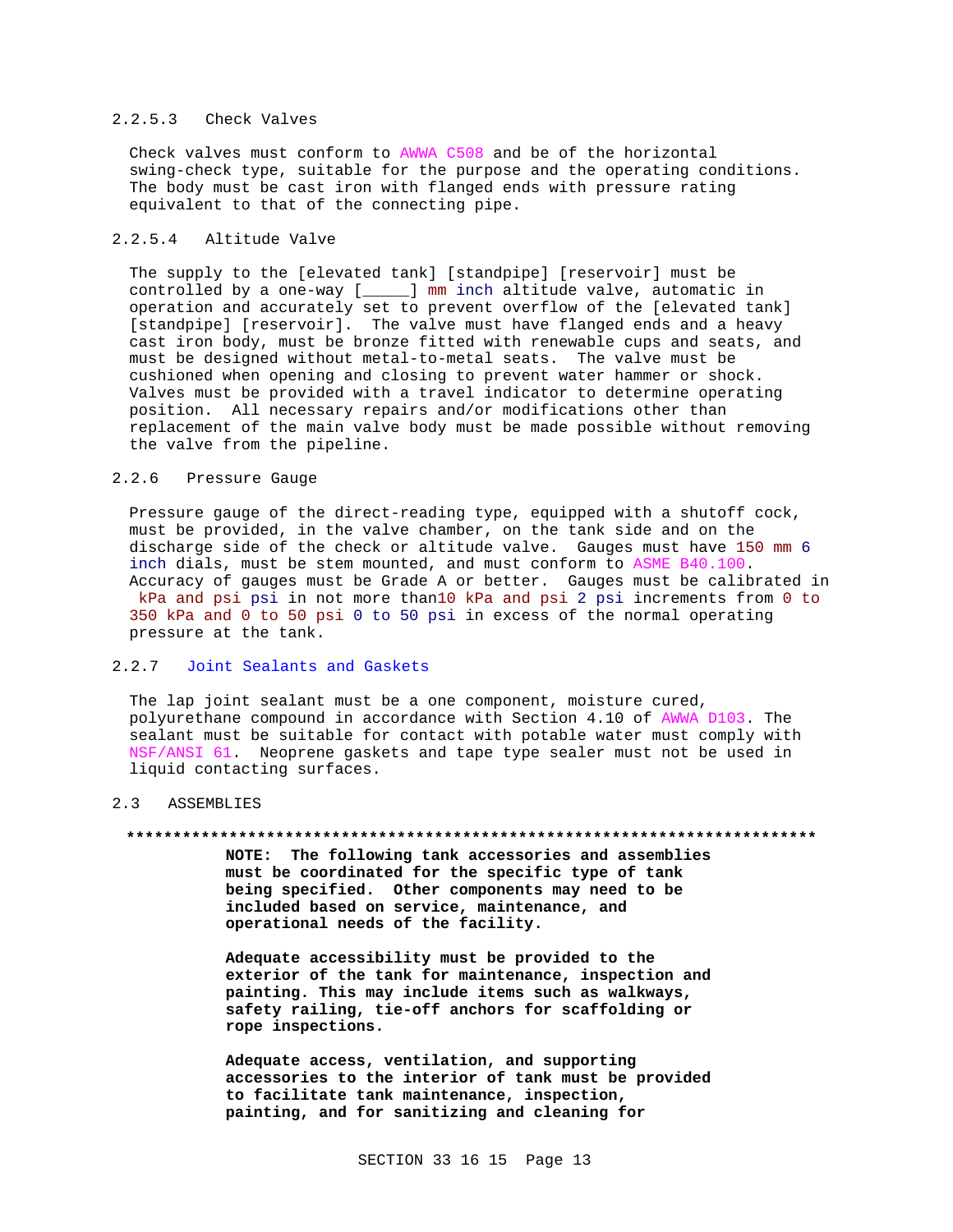# 2.2.5.3 Check Valves

Check valves must conform to AWWA C508 and be of the horizontal swing-check type, suitable for the purpose and the operating conditions. The body must be cast iron with flanged ends with pressure rating equivalent to that of the connecting pipe.

## 2.2.5.4 Altitude Valve

The supply to the [elevated tank] [standpipe] [reservoir] must be controlled by a one-way [\_\_\_\_\_] mm inch altitude valve, automatic in operation and accurately set to prevent overflow of the [elevated tank] [standpipe] [reservoir]. The valve must have flanged ends and a heavy cast iron body, must be bronze fitted with renewable cups and seats, and must be designed without metal-to-metal seats. The valve must be cushioned when opening and closing to prevent water hammer or shock. Valves must be provided with a travel indicator to determine operating position. All necessary repairs and/or modifications other than replacement of the main valve body must be made possible without removing the valve from the pipeline.

# 2.2.6 Pressure Gauge

Pressure gauge of the direct-reading type, equipped with a shutoff cock, must be provided, in the valve chamber, on the tank side and on the discharge side of the check or altitude valve. Gauges must have 150 mm 6 inch dials, must be stem mounted, and must conform to ASME B40.100. Accuracy of gauges must be Grade A or better. Gauges must be calibrated in kPa and psi psi in not more than10 kPa and psi 2 psi increments from 0 to 350 kPa and 0 to 50 psi 0 to 50 psi in excess of the normal operating pressure at the tank.

# 2.2.7 Joint Sealants and Gaskets

The lap joint sealant must be a one component, moisture cured, polyurethane compound in accordance with Section 4.10 of AWWA D103. The sealant must be suitable for contact with potable water must comply with NSF/ANSI 61. Neoprene gaskets and tape type sealer must not be used in liquid contacting surfaces.

## 2.3 ASSEMBLIES

### **\*\*\*\*\*\*\*\*\*\*\*\*\*\*\*\*\*\*\*\*\*\*\*\*\*\*\*\*\*\*\*\*\*\*\*\*\*\*\*\*\*\*\*\*\*\*\*\*\*\*\*\*\*\*\*\*\*\*\*\*\*\*\*\*\*\*\*\*\*\*\*\*\*\***

**NOTE: The following tank accessories and assemblies must be coordinated for the specific type of tank being specified. Other components may need to be included based on service, maintenance, and operational needs of the facility.**

**Adequate accessibility must be provided to the exterior of the tank for maintenance, inspection and painting. This may include items such as walkways, safety railing, tie-off anchors for scaffolding or rope inspections.**

**Adequate access, ventilation, and supporting accessories to the interior of tank must be provided to facilitate tank maintenance, inspection, painting, and for sanitizing and cleaning for**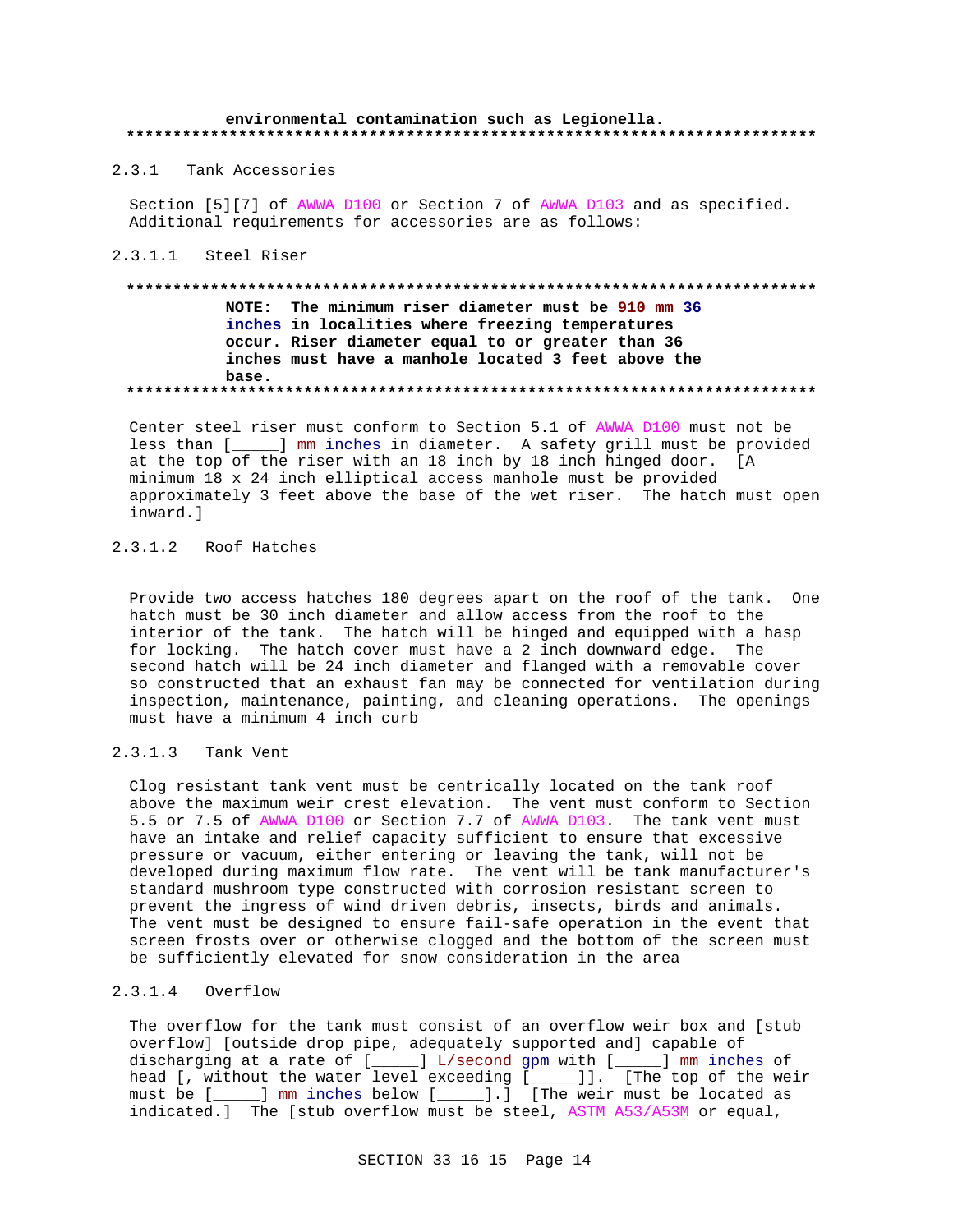## environmental contamination such as Legionella.

2.3.1 Tank Accessories

Section [5][7] of AWWA D100 or Section 7 of AWWA D103 and as specified. Additional requirements for accessories are as follows:

### 2.3.1.1 Steel Riser

# NOTE: The minimum riser diameter must be 910 mm 36 inches in localities where freezing temperatures occur. Riser diameter equal to or greater than 36 inches must have a manhole located 3 feet above the base.

Center steel riser must conform to Section 5.1 of AWWA D100 must not be less than [\_\_\_\_\_] mm inches in diameter. A safety grill must be provided at the top of the riser with an 18 inch by 18 inch hinged door. [ A minimum 18 x 24 inch elliptical access manhole must be provided approximately 3 feet above the base of the wet riser. The hatch must open inward.l

## 2.3.1.2 Roof Hatches

Provide two access hatches 180 degrees apart on the roof of the tank. One hatch must be 30 inch diameter and allow access from the roof to the interior of the tank. The hatch will be hinged and equipped with a hasp for locking. The hatch cover must have a 2 inch downward edge. The second hatch will be 24 inch diameter and flanged with a removable cover so constructed that an exhaust fan may be connected for ventilation during inspection, maintenance, painting, and cleaning operations. The openings must have a minimum 4 inch curb

### $2.3.1.3$ Tank Vent

Clog resistant tank vent must be centrically located on the tank roof above the maximum weir crest elevation. The vent must conform to Section 5.5 or 7.5 of AWWA D100 or Section 7.7 of AWWA D103. The tank vent must have an intake and relief capacity sufficient to ensure that excessive pressure or vacuum, either entering or leaving the tank, will not be developed during maximum flow rate. The vent will be tank manufacturer's standard mushroom type constructed with corrosion resistant screen to prevent the ingress of wind driven debris, insects, birds and animals. The vent must be designed to ensure fail-safe operation in the event that screen frosts over or otherwise clogged and the bottom of the screen must be sufficiently elevated for snow consideration in the area

# 2.3.1.4 Overflow

The overflow for the tank must consist of an overflow weir box and [stub overflow] [outside drop pipe, adequately supported and] capable of discharging at a rate of [\_\_\_\_] L/second gpm with [\_\_\_\_] mm inches of head [, without the water level exceeding [\_\_\_\_]]. [The top of the weir must be [\_\_\_\_] mm inches below [\_\_\_\_].] [The weir must be located as indicated.] The [stub overflow must be steel, ASTM A53/A53M or equal,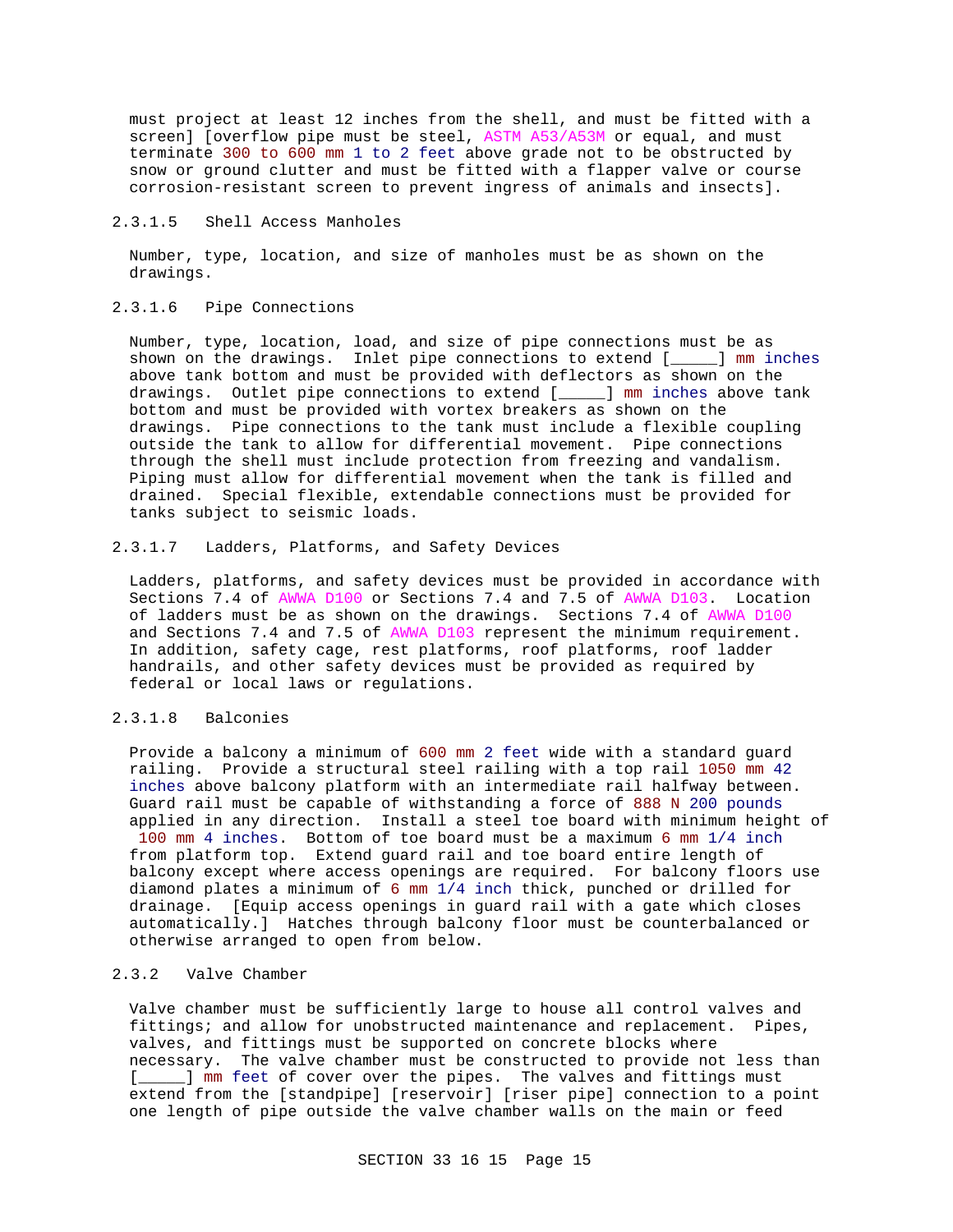must project at least 12 inches from the shell, and must be fitted with a screen] [overflow pipe must be steel, ASTM A53/A53M or equal, and must terminate 300 to 600 mm 1 to 2 feet above grade not to be obstructed by snow or ground clutter and must be fitted with a flapper valve or course corrosion-resistant screen to prevent ingress of animals and insects].

## 2.3.1.5 Shell Access Manholes

Number, type, location, and size of manholes must be as shown on the drawings.

## 2.3.1.6 Pipe Connections

Number, type, location, load, and size of pipe connections must be as shown on the drawings. Inlet pipe connections to extend [\_\_\_\_\_] mm inches above tank bottom and must be provided with deflectors as shown on the drawings. Outlet pipe connections to extend [\_\_\_\_\_] mm inches above tank bottom and must be provided with vortex breakers as shown on the drawings. Pipe connections to the tank must include a flexible coupling outside the tank to allow for differential movement. Pipe connections through the shell must include protection from freezing and vandalism. Piping must allow for differential movement when the tank is filled and drained. Special flexible, extendable connections must be provided for tanks subject to seismic loads.

## 2.3.1.7 Ladders, Platforms, and Safety Devices

Ladders, platforms, and safety devices must be provided in accordance with Sections 7.4 of AWWA D100 or Sections 7.4 and 7.5 of AWWA D103. Location of ladders must be as shown on the drawings. Sections 7.4 of AWWA D100 and Sections 7.4 and 7.5 of AWWA D103 represent the minimum requirement. In addition, safety cage, rest platforms, roof platforms, roof ladder handrails, and other safety devices must be provided as required by federal or local laws or regulations.

# 2.3.1.8 Balconies

Provide a balcony a minimum of 600 mm 2 feet wide with a standard guard railing. Provide a structural steel railing with a top rail 1050 mm 42 inches above balcony platform with an intermediate rail halfway between. Guard rail must be capable of withstanding a force of 888 N 200 pounds applied in any direction. Install a steel toe board with minimum height of 100 mm 4 inches. Bottom of toe board must be a maximum 6 mm 1/4 inch from platform top. Extend guard rail and toe board entire length of balcony except where access openings are required. For balcony floors use diamond plates a minimum of 6 mm 1/4 inch thick, punched or drilled for drainage. [Equip access openings in guard rail with a gate which closes automatically.] Hatches through balcony floor must be counterbalanced or otherwise arranged to open from below.

## 2.3.2 Valve Chamber

Valve chamber must be sufficiently large to house all control valves and fittings; and allow for unobstructed maintenance and replacement. Pipes, valves, and fittings must be supported on concrete blocks where necessary. The valve chamber must be constructed to provide not less than [\_\_\_\_\_] mm feet of cover over the pipes. The valves and fittings must extend from the [standpipe] [reservoir] [riser pipe] connection to a point one length of pipe outside the valve chamber walls on the main or feed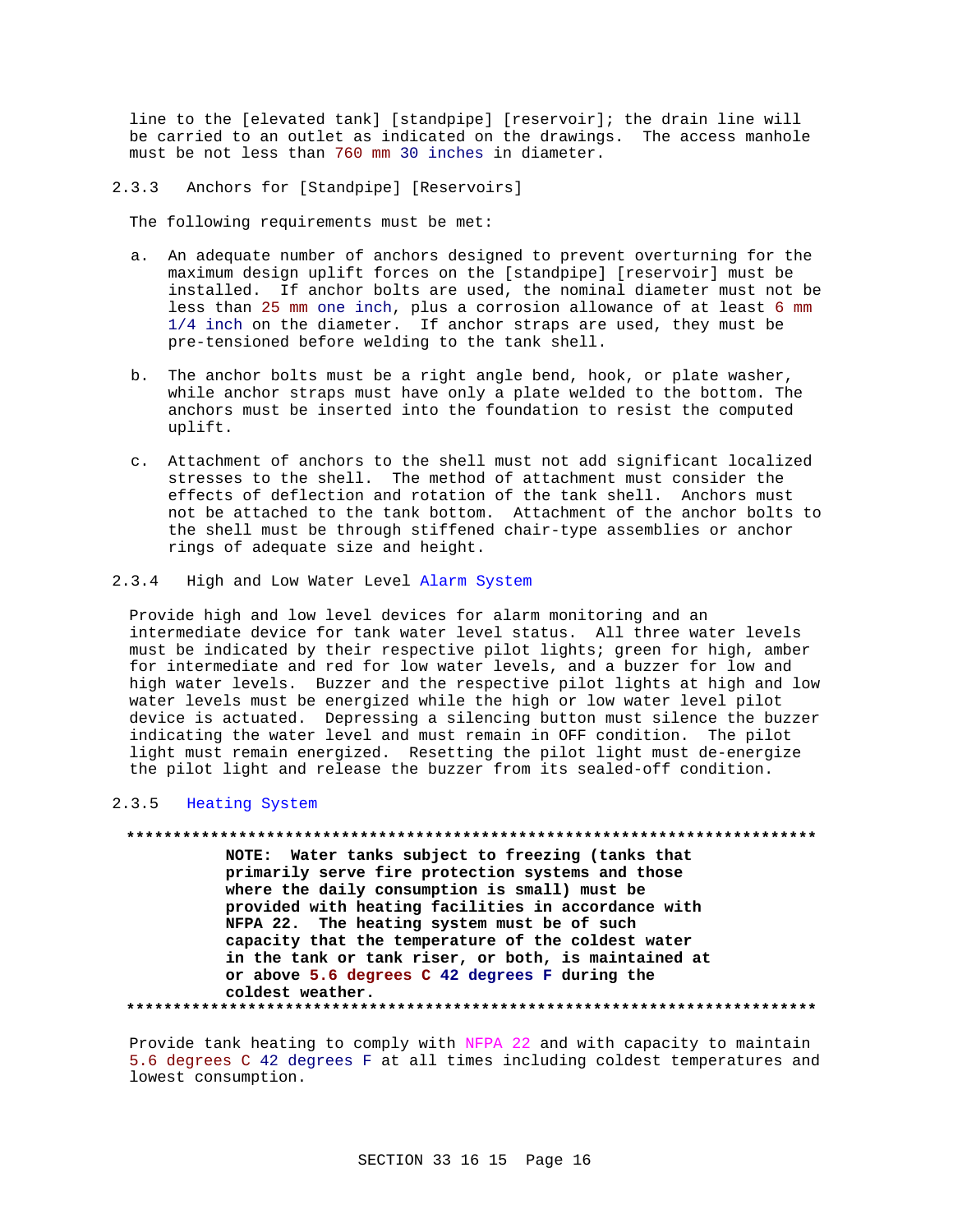line to the [elevated tank] [standpipe] [reservoir]; the drain line will be carried to an outlet as indicated on the drawings. The access manhole must be not less than 760 mm 30 inches in diameter.

2.3.3 Anchors for [Standpipe] [Reservoirs]

The following requirements must be met:

- a. An adequate number of anchors designed to prevent overturning for the maximum design uplift forces on the [standpipe] [reservoir] must be installed. If anchor bolts are used, the nominal diameter must not be less than 25 mm one inch, plus a corrosion allowance of at least 6 mm 1/4 inch on the diameter. If anchor straps are used, they must be pre-tensioned before welding to the tank shell.
- b. The anchor bolts must be a right angle bend, hook, or plate washer, while anchor straps must have only a plate welded to the bottom. The anchors must be inserted into the foundation to resist the computed uplift.
- c. Attachment of anchors to the shell must not add significant localized stresses to the shell. The method of attachment must consider the effects of deflection and rotation of the tank shell. Anchors must not be attached to the tank bottom. Attachment of the anchor bolts to the shell must be through stiffened chair-type assemblies or anchor rings of adequate size and height.
- 2.3.4 High and Low Water Level Alarm System

Provide high and low level devices for alarm monitoring and an intermediate device for tank water level status. All three water levels must be indicated by their respective pilot lights; green for high, amber for intermediate and red for low water levels, and a buzzer for low and high water levels. Buzzer and the respective pilot lights at high and low water levels must be energized while the high or low water level pilot device is actuated. Depressing a silencing button must silence the buzzer indicating the water level and must remain in OFF condition. The pilot light must remain energized. Resetting the pilot light must de-energize the pilot light and release the buzzer from its sealed-off condition.

### 2.3.5 Heating System

**\*\*\*\*\*\*\*\*\*\*\*\*\*\*\*\*\*\*\*\*\*\*\*\*\*\*\*\*\*\*\*\*\*\*\*\*\*\*\*\*\*\*\*\*\*\*\*\*\*\*\*\*\*\*\*\*\*\*\*\*\*\*\*\*\*\*\*\*\*\*\*\*\*\* NOTE: Water tanks subject to freezing (tanks that primarily serve fire protection systems and those where the daily consumption is small) must be provided with heating facilities in accordance with NFPA 22. The heating system must be of such capacity that the temperature of the coldest water in the tank or tank riser, or both, is maintained at or above 5.6 degrees C 42 degrees F during the coldest weather. \*\*\*\*\*\*\*\*\*\*\*\*\*\*\*\*\*\*\*\*\*\*\*\*\*\*\*\*\*\*\*\*\*\*\*\*\*\*\*\*\*\*\*\*\*\*\*\*\*\*\*\*\*\*\*\*\*\*\*\*\*\*\*\*\*\*\*\*\*\*\*\*\*\***

Provide tank heating to comply with NFPA 22 and with capacity to maintain 5.6 degrees C 42 degrees F at all times including coldest temperatures and lowest consumption.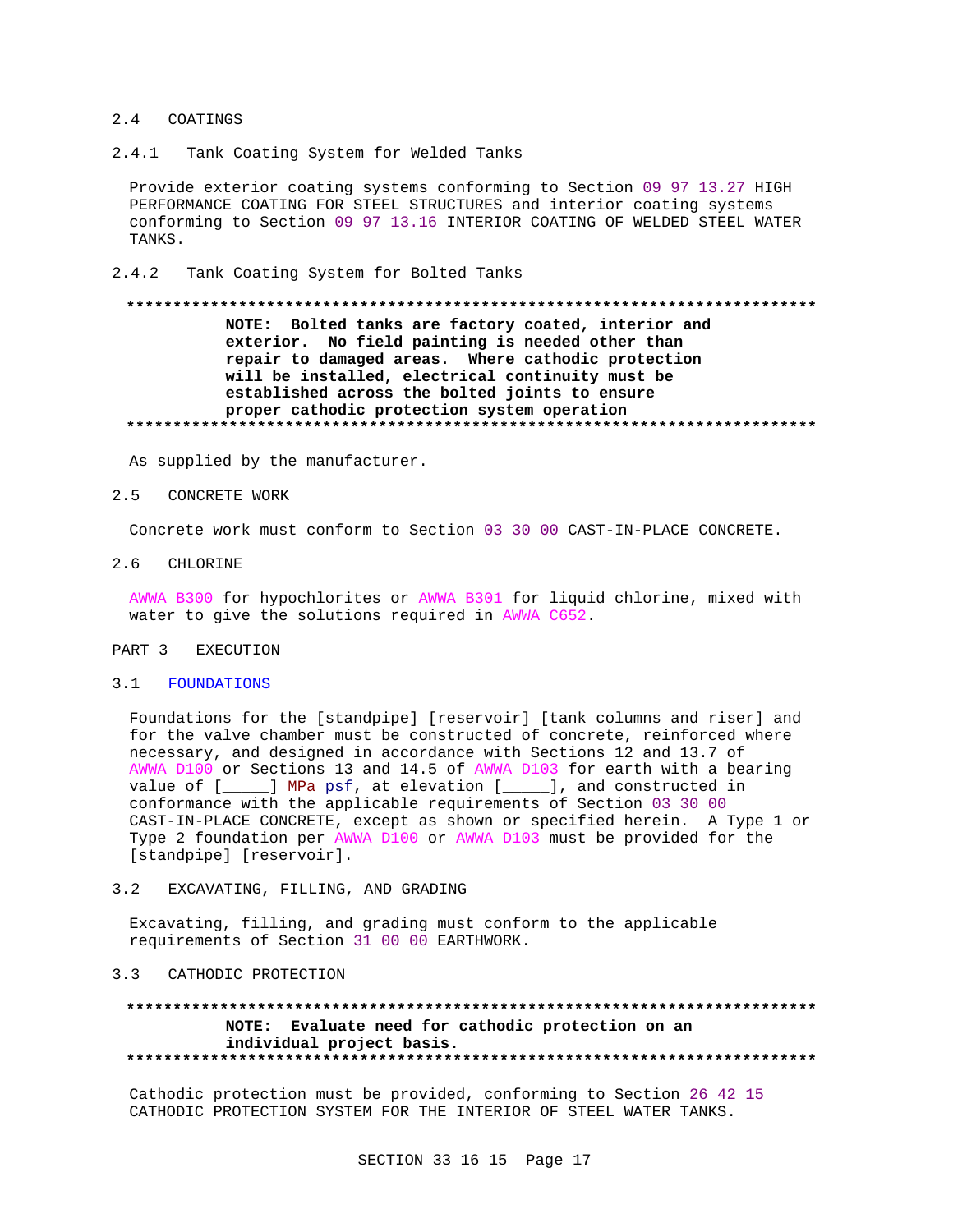## 2.4 COATINGS

 $2.4.1$ Tank Coating System for Welded Tanks

Provide exterior coating systems conforming to Section 09 97 13.27 HIGH PERFORMANCE COATING FOR STEEL STRUCTURES and interior coating systems conforming to Section 09 97 13.16 INTERIOR COATING OF WELDED STEEL WATER TANKS.

 $2.4.2$ Tank Coating System for Bolted Tanks

# NOTE: Bolted tanks are factory coated, interior and exterior. No field painting is needed other than repair to damaged areas. Where cathodic protection will be installed, electrical continuity must be established across the bolted joints to ensure proper cathodic protection system operation

As supplied by the manufacturer.

#### $2.5$ CONCRETE WORK

Concrete work must conform to Section 03 30 00 CAST-IN-PLACE CONCRETE.

2.6 CHLORINE

AWWA B300 for hypochlorites or AWWA B301 for liquid chlorine, mixed with water to give the solutions required in AWWA C652.

#### PART 3 EXECUTION

### 3.1 FOUNDATIONS

Foundations for the [standpipe] [reservoir] [tank columns and riser] and for the valve chamber must be constructed of concrete, reinforced where necessary, and designed in accordance with Sections 12 and 13.7 of AWWA D100 or Sections 13 and 14.5 of AWWA D103 for earth with a bearing value of [\_\_\_\_] MPa psf, at elevation [\_\_\_\_], and constructed in conformance with the applicable requirements of Section 03 30 00 CAST-IN-PLACE CONCRETE, except as shown or specified herein. A Type 1 or Type 2 foundation per AWWA D100 or AWWA D103 must be provided for the [standpipe] [reservoir].

#### $3.2$ EXCAVATING, FILLING, AND GRADING

Excavating, filling, and grading must conform to the applicable requirements of Section 31 00 00 EARTHWORK.

## 3.3 CATHODIC PROTECTION

### \*\*\*\*\*\*\*\*\*\*\*\*\*\*\* NOTE: Evaluate need for cathodic protection on an individual project basis.

Cathodic protection must be provided, conforming to Section 26 42 15 CATHODIC PROTECTION SYSTEM FOR THE INTERIOR OF STEEL WATER TANKS.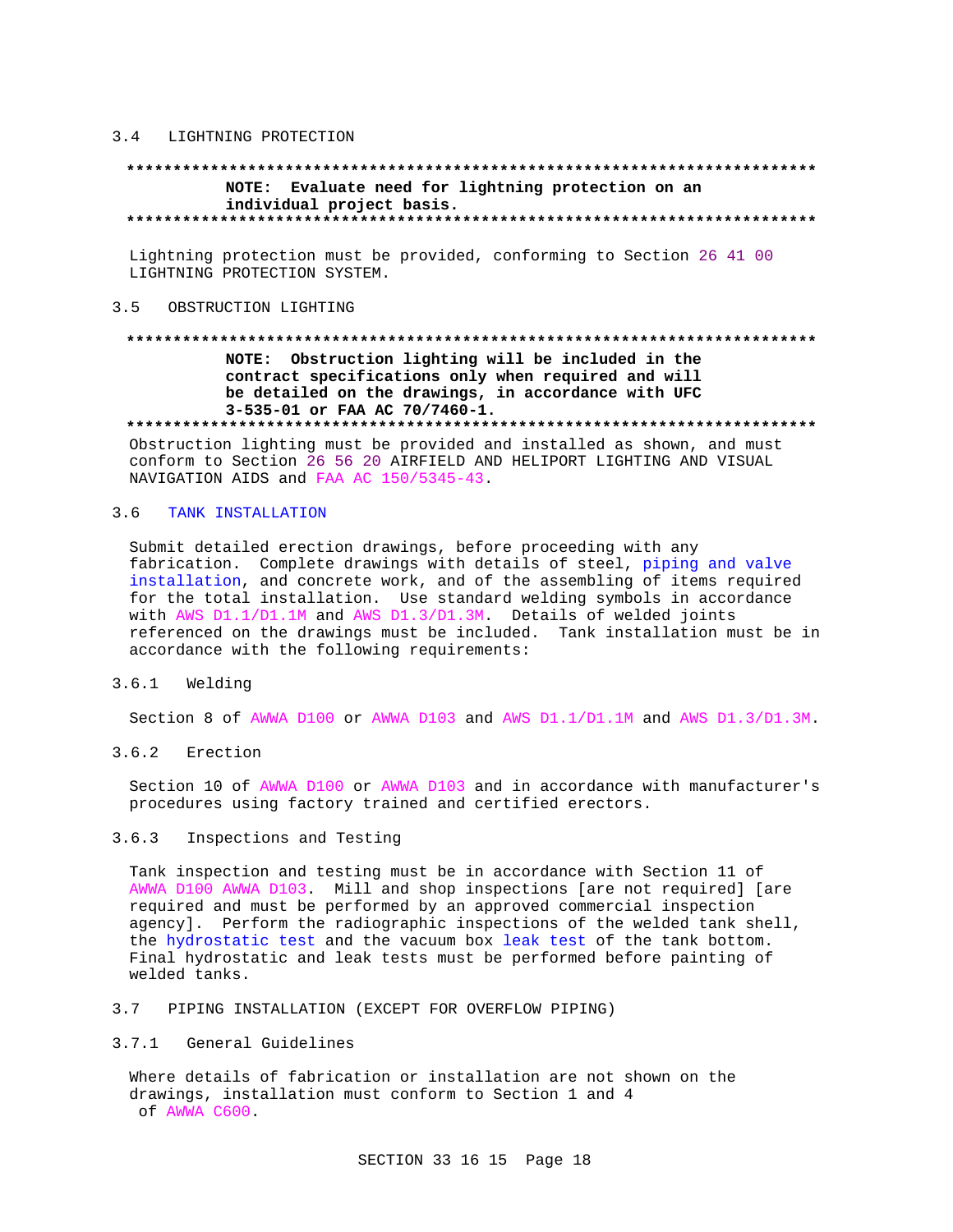#### $3.4$ LIGHTNING PROTECTION

# NOTE: Evaluate need for lightning protection on an individual project basis.

Lightning protection must be provided, conforming to Section 26 41 00 LIGHTNING PROTECTION SYSTEM.

## 3.5 OBSTRUCTION LIGHTING

# NOTE: Obstruction lighting will be included in the contract specifications only when required and will be detailed on the drawings, in accordance with UFC 3-535-01 or FAA AC 70/7460-1.

Obstruction lighting must be provided and installed as shown, and must conform to Section 26 56 20 AIRFIELD AND HELIPORT LIGHTING AND VISUAL NAVIGATION AIDS and FAA AC 150/5345-43.

#### $3.6$ TANK INSTALLATION

Submit detailed erection drawings, before proceeding with any fabrication. Complete drawings with details of steel, piping and valve installation, and concrete work, and of the assembling of items required for the total installation. Use standard welding symbols in accordance with AWS D1.1/D1.1M and AWS D1.3/D1.3M. Details of welded joints referenced on the drawings must be included. Tank installation must be in accordance with the following requirements:

### $3.6.1$ Welding

Section 8 of AWWA D100 or AWWA D103 and AWS D1.1/D1.1M and AWS D1.3/D1.3M.

3.6.2 Erection

Section 10 of AWWA D100 or AWWA D103 and in accordance with manufacturer's procedures using factory trained and certified erectors.

#### $3.6.3$ Inspections and Testing

Tank inspection and testing must be in accordance with Section 11 of AWWA D100 AWWA D103. Mill and shop inspections [are not required] [are required and must be performed by an approved commercial inspection agency]. Perform the radiographic inspections of the welded tank shell, the hydrostatic test and the vacuum box leak test of the tank bottom. Final hydrostatic and leak tests must be performed before painting of welded tanks.

## 3.7 PIPING INSTALLATION (EXCEPT FOR OVERFLOW PIPING)

## 3.7.1 General Guidelines

Where details of fabrication or installation are not shown on the drawings, installation must conform to Section 1 and 4 of AWWA C600.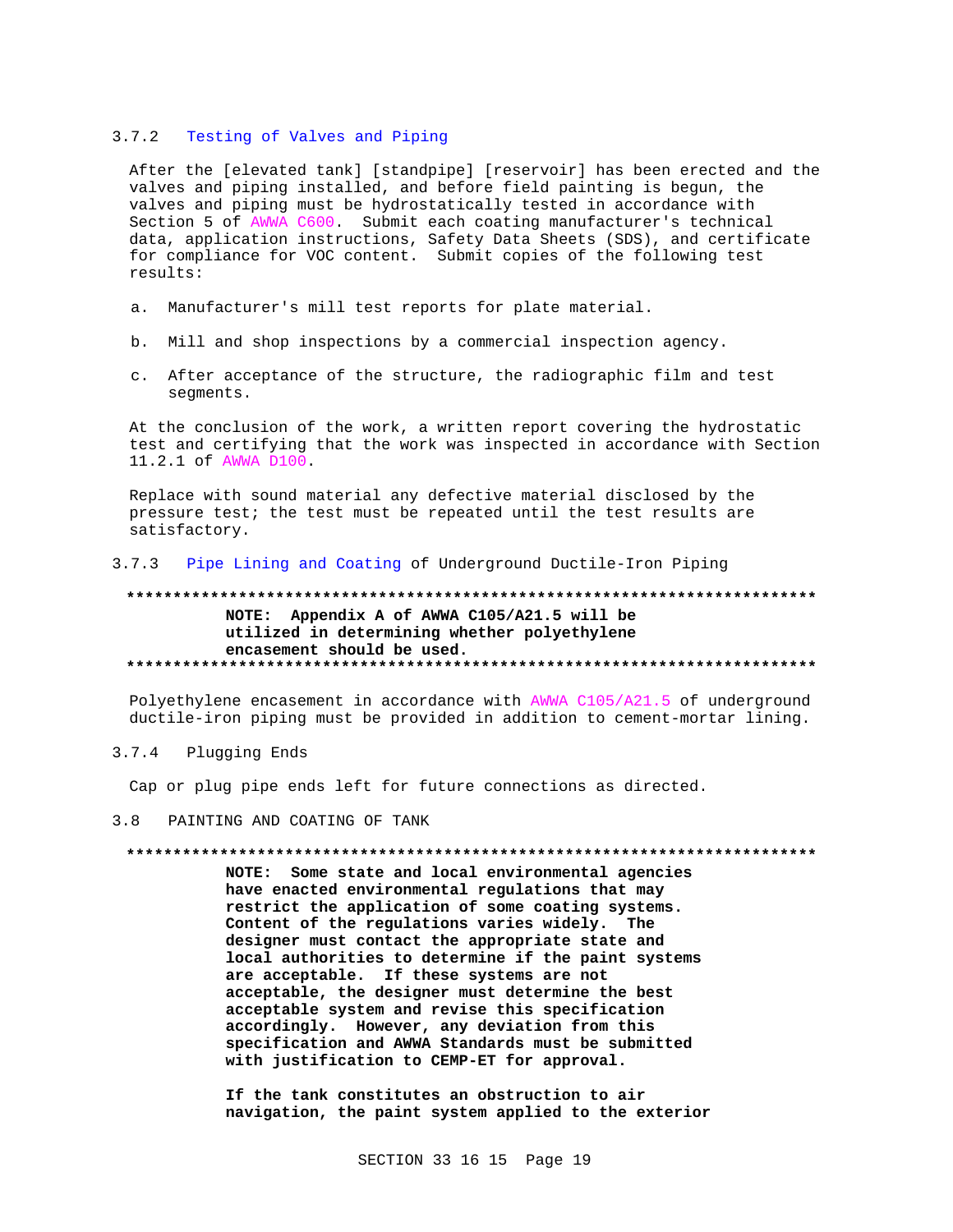#### $3.7.2$ Testing of Valves and Piping

After the [elevated tank] [standpipe] [reservoir] has been erected and the valves and piping installed, and before field painting is begun, the valves and piping must be hydrostatically tested in accordance with Section 5 of AWWA C600. Submit each coating manufacturer's technical data, application instructions, Safety Data Sheets (SDS), and certificate for compliance for VOC content. Submit copies of the following test results:

- a. Manufacturer's mill test reports for plate material.
- b. Mill and shop inspections by a commercial inspection agency.
- c. After acceptance of the structure, the radiographic film and test segments.

At the conclusion of the work, a written report covering the hydrostatic test and certifying that the work was inspected in accordance with Section 11.2.1 of AWWA D100.

Replace with sound material any defective material disclosed by the pressure test; the test must be repeated until the test results are satisfactory.

### $3.7.3$ Pipe Lining and Coating of Underground Ductile-Iron Piping

# NOTE: Appendix A of AWWA C105/A21.5 will be utilized in determining whether polyethylene encasement should be used.

Polyethylene encasement in accordance with AWWA C105/A21.5 of underground ductile-iron piping must be provided in addition to cement-mortar lining.

### $3.7.4$ Plugging Ends

Cap or plug pipe ends left for future connections as directed.

#### $3.8$ PAINTING AND COATING OF TANK

## 

NOTE: Some state and local environmental agencies have enacted environmental regulations that may restrict the application of some coating systems. Content of the regulations varies widely. The designer must contact the appropriate state and local authorities to determine if the paint systems are acceptable. If these systems are not acceptable, the designer must determine the best acceptable system and revise this specification accordingly. However, any deviation from this specification and AWWA Standards must be submitted with justification to CEMP-ET for approval.

If the tank constitutes an obstruction to air navigation, the paint system applied to the exterior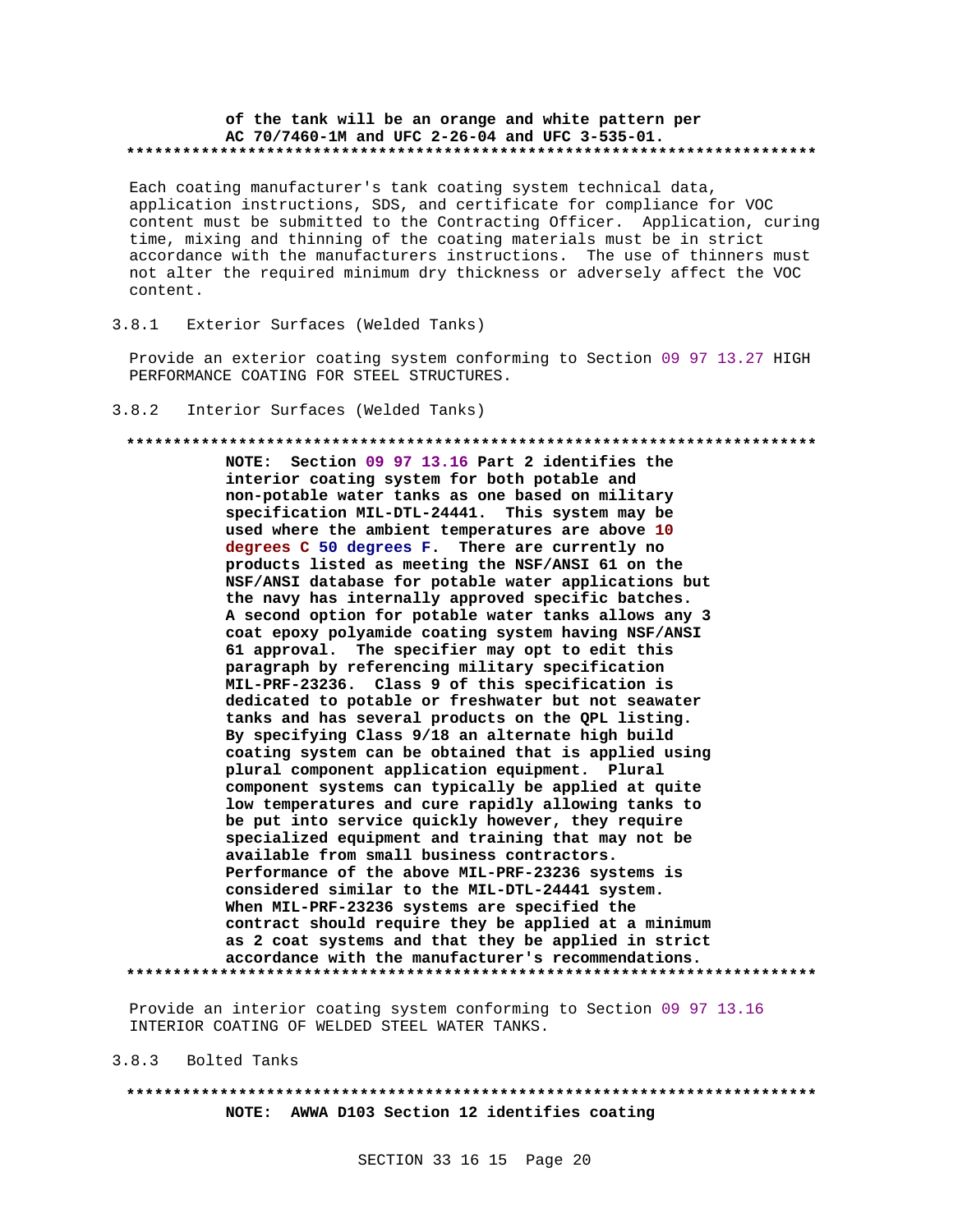## of the tank will be an orange and white pattern per AC 70/7460-1M and UFC 2-26-04 and UFC 3-535-01.

Each coating manufacturer's tank coating system technical data, application instructions, SDS, and certificate for compliance for VOC content must be submitted to the Contracting Officer. Application, curing time, mixing and thinning of the coating materials must be in strict accordance with the manufacturers instructions. The use of thinners must not alter the required minimum dry thickness or adversely affect the VOC content.

#### $3.8.1$ Exterior Surfaces (Welded Tanks)

Provide an exterior coating system conforming to Section 09 97 13.27 HIGH PERFORMANCE COATING FOR STEEL STRUCTURES.

#### $3.8.2$ Interior Surfaces (Welded Tanks)

## 

NOTE: Section 09 97 13.16 Part 2 identifies the interior coating system for both potable and non-potable water tanks as one based on military specification MIL-DTL-24441. This system may be used where the ambient temperatures are above 10 degrees C 50 degrees F. There are currently no products listed as meeting the NSF/ANSI 61 on the NSF/ANSI database for potable water applications but the navy has internally approved specific batches. A second option for potable water tanks allows any 3 coat epoxy polyamide coating system having NSF/ANSI 61 approval. The specifier may opt to edit this paragraph by referencing military specification MIL-PRF-23236. Class 9 of this specification is dedicated to potable or freshwater but not seawater tanks and has several products on the QPL listing. By specifying Class 9/18 an alternate high build coating system can be obtained that is applied using plural component application equipment. Plural component systems can typically be applied at quite low temperatures and cure rapidly allowing tanks to be put into service quickly however, they require specialized equipment and training that may not be available from small business contractors. Performance of the above MIL-PRF-23236 systems is considered similar to the MIL-DTL-24441 system. When MIL-PRF-23236 systems are specified the contract should require they be applied at a minimum as 2 coat systems and that they be applied in strict accordance with the manufacturer's recommendations. 

Provide an interior coating system conforming to Section 09 97 13.16 INTERIOR COATING OF WELDED STEEL WATER TANKS.

 $3.8.3$ Bolted Tanks

# NOTE: AWWA D103 Section 12 identifies coating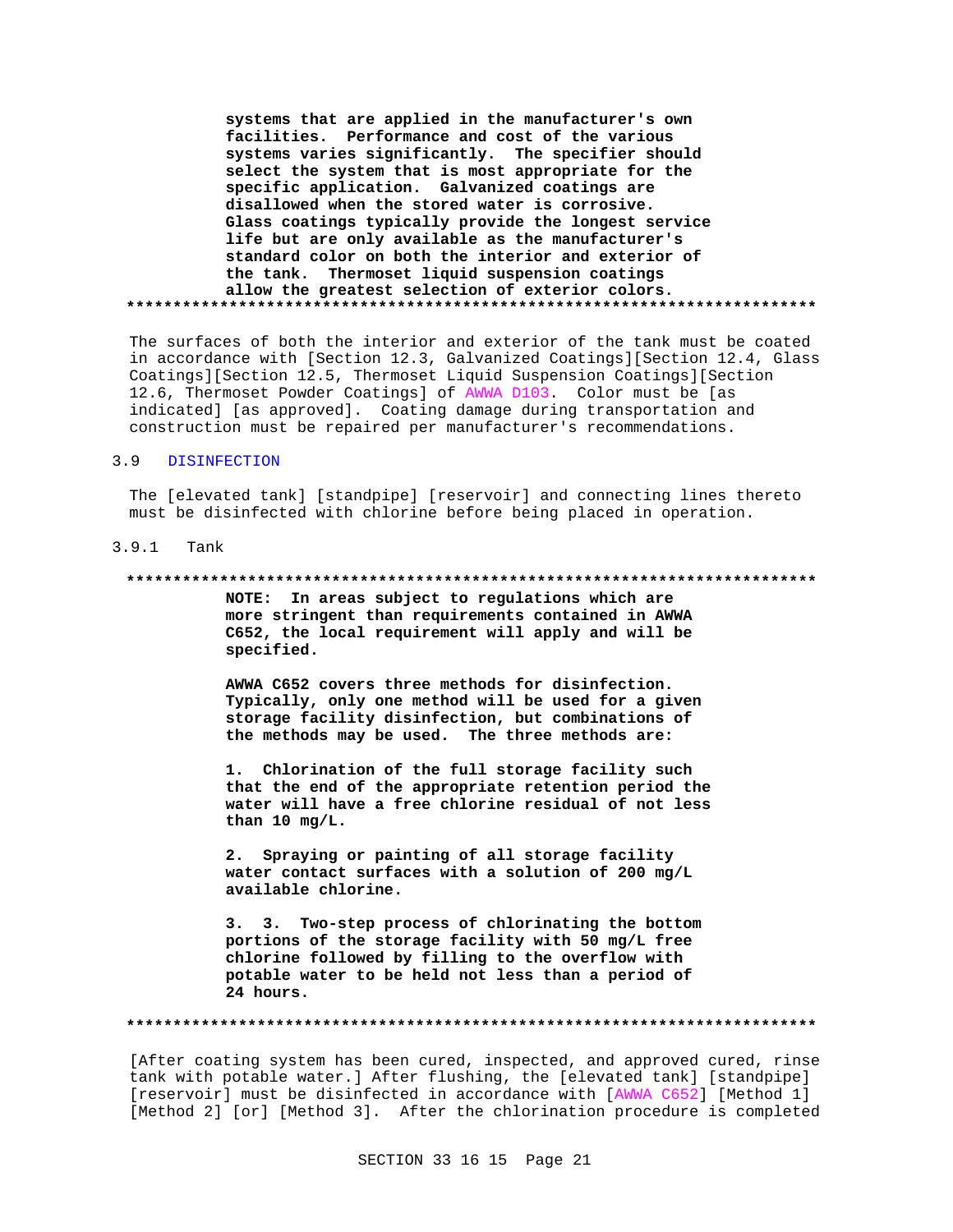**systems that are applied in the manufacturer's own facilities. Performance and cost of the various systems varies significantly. The specifier should select the system that is most appropriate for the specific application. Galvanized coatings are disallowed when the stored water is corrosive. Glass coatings typically provide the longest service life but are only available as the manufacturer's standard color on both the interior and exterior of the tank. Thermoset liquid suspension coatings allow the greatest selection of exterior colors. \*\*\*\*\*\*\*\*\*\*\*\*\*\*\*\*\*\*\*\*\*\*\*\*\*\*\*\*\*\*\*\*\*\*\*\*\*\*\*\*\*\*\*\*\*\*\*\*\*\*\*\*\*\*\*\*\*\*\*\*\*\*\*\*\*\*\*\*\*\*\*\*\*\***

The surfaces of both the interior and exterior of the tank must be coated in accordance with [Section 12.3, Galvanized Coatings][Section 12.4, Glass Coatings][Section 12.5, Thermoset Liquid Suspension Coatings][Section 12.6, Thermoset Powder Coatings] of AWWA D103. Color must be [as indicated] [as approved]. Coating damage during transportation and construction must be repaired per manufacturer's recommendations.

## 3.9 DISINFECTION

The [elevated tank] [standpipe] [reservoir] and connecting lines thereto must be disinfected with chlorine before being placed in operation.

## 3.9.1 Tank

### **\*\*\*\*\*\*\*\*\*\*\*\*\*\*\*\*\*\*\*\*\*\*\*\*\*\*\*\*\*\*\*\*\*\*\*\*\*\*\*\*\*\*\*\*\*\*\*\*\*\*\*\*\*\*\*\*\*\*\*\*\*\*\*\*\*\*\*\*\*\*\*\*\*\***

**NOTE: In areas subject to regulations which are more stringent than requirements contained in AWWA C652, the local requirement will apply and will be specified.**

**AWWA C652 covers three methods for disinfection. Typically, only one method will be used for a given storage facility disinfection, but combinations of the methods may be used. The three methods are:**

**1. Chlorination of the full storage facility such that the end of the appropriate retention period the water will have a free chlorine residual of not less than 10 mg/L.**

**2. Spraying or painting of all storage facility water contact surfaces with a solution of 200 mg/L available chlorine.**

**3. 3. Two-step process of chlorinating the bottom portions of the storage facility with 50 mg/L free chlorine followed by filling to the overflow with potable water to be held not less than a period of 24 hours.**

### **\*\*\*\*\*\*\*\*\*\*\*\*\*\*\*\*\*\*\*\*\*\*\*\*\*\*\*\*\*\*\*\*\*\*\*\*\*\*\*\*\*\*\*\*\*\*\*\*\*\*\*\*\*\*\*\*\*\*\*\*\*\*\*\*\*\*\*\*\*\*\*\*\*\***

[After coating system has been cured, inspected, and approved cured, rinse tank with potable water.] After flushing, the [elevated tank] [standpipe] [reservoir] must be disinfected in accordance with [AWWA C652] [Method 1] [Method 2] [or] [Method 3]. After the chlorination procedure is completed